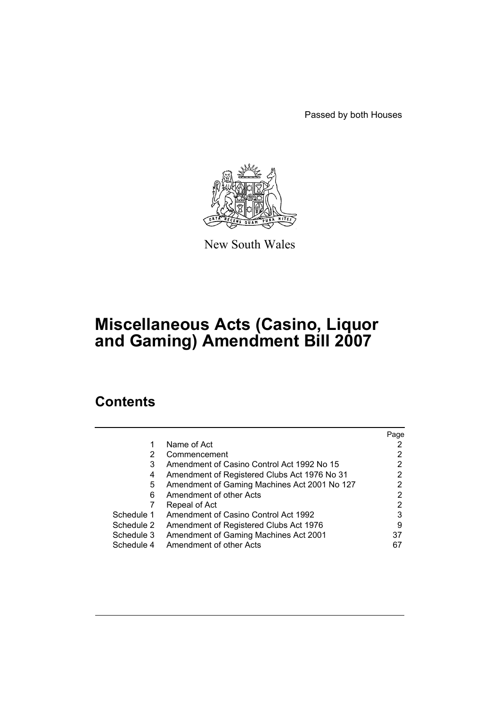Passed by both Houses



New South Wales

# **Miscellaneous Acts (Casino, Liquor and Gaming) Amendment Bill 2007**

# **Contents**

|            |                                              | Page |
|------------|----------------------------------------------|------|
| 1          | Name of Act                                  |      |
| 2          | Commencement                                 |      |
| 3          | Amendment of Casino Control Act 1992 No 15   | 2    |
| 4          | Amendment of Registered Clubs Act 1976 No 31 | 2    |
| 5          | Amendment of Gaming Machines Act 2001 No 127 | 2    |
| 6          | Amendment of other Acts                      | 2    |
|            | Repeal of Act                                |      |
| Schedule 1 | Amendment of Casino Control Act 1992         | 3    |
| Schedule 2 | Amendment of Registered Clubs Act 1976       | 9    |
| Schedule 3 | Amendment of Gaming Machines Act 2001        | 37   |
| Schedule 4 | Amendment of other Acts                      | 67   |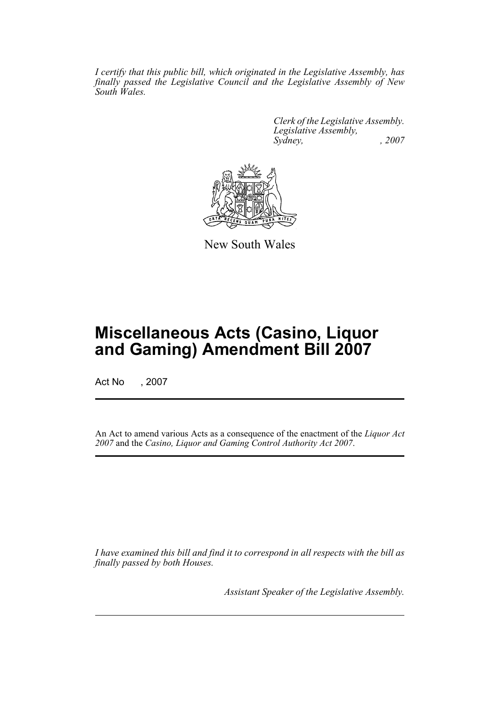*I certify that this public bill, which originated in the Legislative Assembly, has finally passed the Legislative Council and the Legislative Assembly of New South Wales.*

> *Clerk of the Legislative Assembly. Legislative Assembly, Sydney, , 2007*



New South Wales

# **Miscellaneous Acts (Casino, Liquor and Gaming) Amendment Bill 2007**

Act No , 2007

An Act to amend various Acts as a consequence of the enactment of the *Liquor Act 2007* and the *Casino, Liquor and Gaming Control Authority Act 2007*.

*I have examined this bill and find it to correspond in all respects with the bill as finally passed by both Houses.*

*Assistant Speaker of the Legislative Assembly.*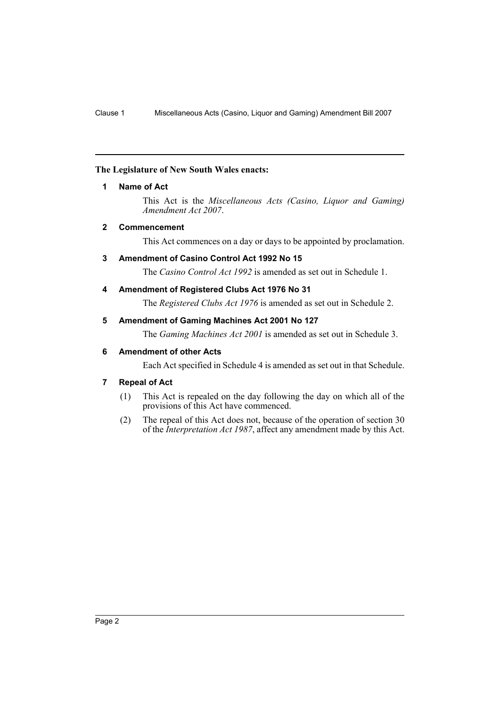## <span id="page-2-0"></span>**The Legislature of New South Wales enacts:**

#### **1 Name of Act**

This Act is the *Miscellaneous Acts (Casino, Liquor and Gaming) Amendment Act 2007*.

## <span id="page-2-1"></span>**2 Commencement**

This Act commences on a day or days to be appointed by proclamation.

## <span id="page-2-2"></span>**3 Amendment of Casino Control Act 1992 No 15**

The *Casino Control Act 1992* is amended as set out in Schedule 1.

#### <span id="page-2-3"></span>**4 Amendment of Registered Clubs Act 1976 No 31**

The *Registered Clubs Act 1976* is amended as set out in Schedule 2.

#### <span id="page-2-4"></span>**5 Amendment of Gaming Machines Act 2001 No 127**

The *Gaming Machines Act 2001* is amended as set out in Schedule 3.

## <span id="page-2-5"></span>**6 Amendment of other Acts**

Each Act specified in Schedule 4 is amended as set out in that Schedule.

## <span id="page-2-6"></span>**7 Repeal of Act**

- (1) This Act is repealed on the day following the day on which all of the provisions of this Act have commenced.
- (2) The repeal of this Act does not, because of the operation of section 30 of the *Interpretation Act 1987*, affect any amendment made by this Act.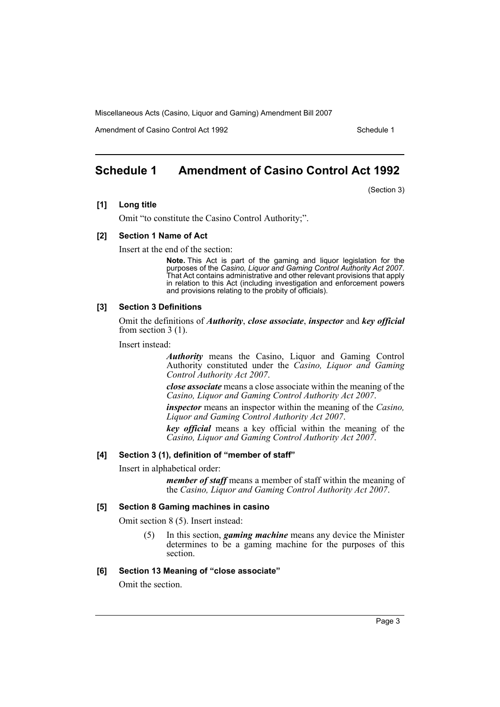Amendment of Casino Control Act 1992 Schedule 1

# <span id="page-3-0"></span>**Schedule 1 Amendment of Casino Control Act 1992**

(Section 3)

#### **[1] Long title**

Omit "to constitute the Casino Control Authority;".

#### **[2] Section 1 Name of Act**

Insert at the end of the section:

**Note.** This Act is part of the gaming and liquor legislation for the purposes of the *Casino, Liquor and Gaming Control Authority Act 2007*. That Act contains administrative and other relevant provisions that apply in relation to this Act (including investigation and enforcement powers and provisions relating to the probity of officials).

### **[3] Section 3 Definitions**

Omit the definitions of *Authority*, *close associate*, *inspector* and *key official* from section 3 (1).

Insert instead:

*Authority* means the Casino, Liquor and Gaming Control Authority constituted under the *Casino, Liquor and Gaming Control Authority Act 2007*.

*close associate* means a close associate within the meaning of the *Casino, Liquor and Gaming Control Authority Act 2007*.

*inspector* means an inspector within the meaning of the *Casino, Liquor and Gaming Control Authority Act 2007*.

*key official* means a key official within the meaning of the *Casino, Liquor and Gaming Control Authority Act 2007*.

#### **[4] Section 3 (1), definition of "member of staff"**

Insert in alphabetical order:

*member of staff* means a member of staff within the meaning of the *Casino, Liquor and Gaming Control Authority Act 2007*.

#### **[5] Section 8 Gaming machines in casino**

Omit section 8 (5). Insert instead:

(5) In this section, *gaming machine* means any device the Minister determines to be a gaming machine for the purposes of this section.

#### **[6] Section 13 Meaning of "close associate"**

Omit the section.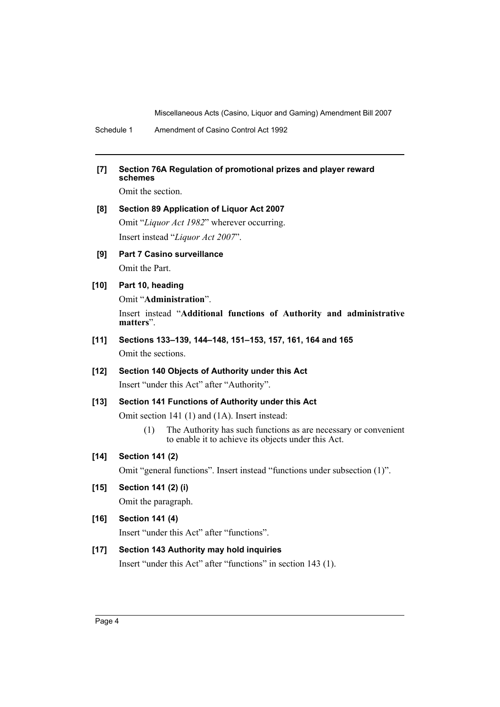Schedule 1 Amendment of Casino Control Act 1992

## **[7] Section 76A Regulation of promotional prizes and player reward schemes**

Omit the section.

# **[8] Section 89 Application of Liquor Act 2007** Omit "*Liquor Act 1982*" wherever occurring. Insert instead "*Liquor Act 2007*".

**[9] Part 7 Casino surveillance** Omit the Part.

## **[10] Part 10, heading**

Omit "**Administration**".

Insert instead "**Additional functions of Authority and administrative matters**".

**[11] Sections 133–139, 144–148, 151–153, 157, 161, 164 and 165** Omit the sections.

## **[12] Section 140 Objects of Authority under this Act** Insert "under this Act" after "Authority".

## **[13] Section 141 Functions of Authority under this Act**

Omit section 141 (1) and (1A). Insert instead:

(1) The Authority has such functions as are necessary or convenient to enable it to achieve its objects under this Act.

## **[14] Section 141 (2)**

Omit "general functions". Insert instead "functions under subsection (1)".

## **[15] Section 141 (2) (i)**

Omit the paragraph.

## **[16] Section 141 (4)**

Insert "under this Act" after "functions".

## **[17] Section 143 Authority may hold inquiries**

Insert "under this Act" after "functions" in section 143 (1).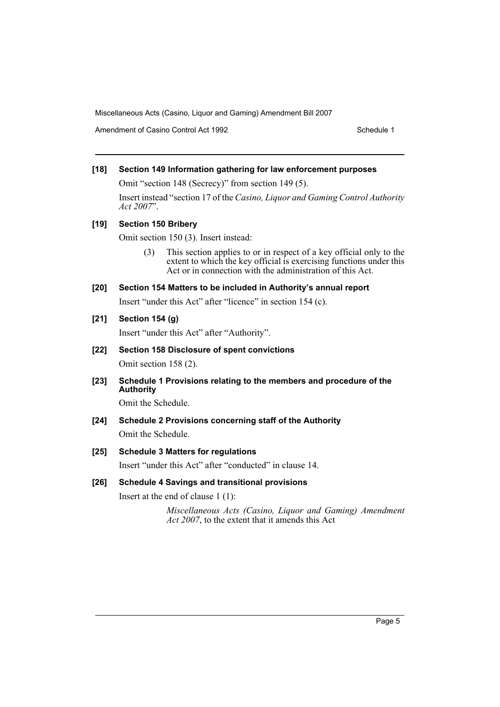Amendment of Casino Control Act 1992 Schedule 1

## **[18] Section 149 Information gathering for law enforcement purposes**

Omit "section 148 (Secrecy)" from section 149 (5).

Insert instead "section 17 of the *Casino, Liquor and Gaming Control Authority Act 2007*".

## **[19] Section 150 Bribery**

Omit section 150 (3). Insert instead:

(3) This section applies to or in respect of a key official only to the extent to which the key official is exercising functions under this Act or in connection with the administration of this Act.

## **[20] Section 154 Matters to be included in Authority's annual report**

Insert "under this Act" after "licence" in section 154 (c).

## **[21] Section 154 (g)**

Insert "under this Act" after "Authority".

## **[22] Section 158 Disclosure of spent convictions**

Omit section 158 (2).

**[23] Schedule 1 Provisions relating to the members and procedure of the Authority**

Omit the Schedule.

## **[24] Schedule 2 Provisions concerning staff of the Authority**

Omit the Schedule.

## **[25] Schedule 3 Matters for regulations**

Insert "under this Act" after "conducted" in clause 14.

## **[26] Schedule 4 Savings and transitional provisions**

Insert at the end of clause 1 (1):

*Miscellaneous Acts (Casino, Liquor and Gaming) Amendment Act 2007*, to the extent that it amends this Act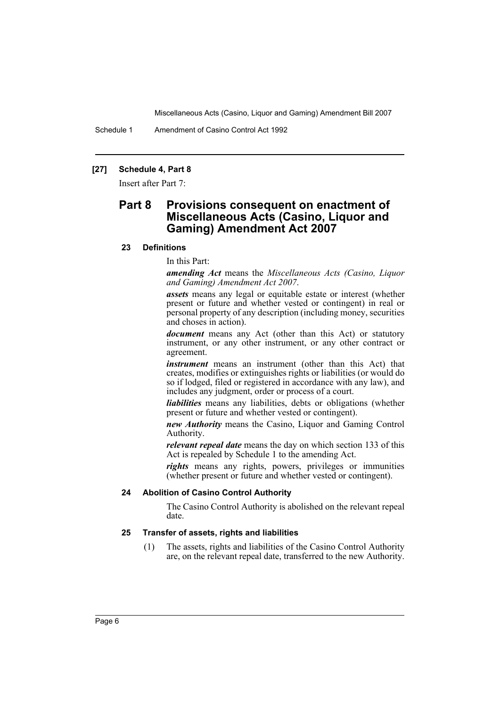Schedule 1 Amendment of Casino Control Act 1992

## **[27] Schedule 4, Part 8**

Insert after Part 7:

# **Part 8 Provisions consequent on enactment of Miscellaneous Acts (Casino, Liquor and Gaming) Amendment Act 2007**

#### **23 Definitions**

In this Part:

*amending Act* means the *Miscellaneous Acts (Casino, Liquor and Gaming) Amendment Act 2007*.

*assets* means any legal or equitable estate or interest (whether present or future and whether vested or contingent) in real or personal property of any description (including money, securities and choses in action).

*document* means any Act (other than this Act) or statutory instrument, or any other instrument, or any other contract or agreement.

*instrument* means an instrument (other than this Act) that creates, modifies or extinguishes rights or liabilities (or would do so if lodged, filed or registered in accordance with any law), and includes any judgment, order or process of a court.

*liabilities* means any liabilities, debts or obligations (whether present or future and whether vested or contingent).

*new Authority* means the Casino, Liquor and Gaming Control Authority.

*relevant repeal date* means the day on which section 133 of this Act is repealed by Schedule 1 to the amending Act.

*rights* means any rights, powers, privileges or immunities (whether present or future and whether vested or contingent).

#### **24 Abolition of Casino Control Authority**

The Casino Control Authority is abolished on the relevant repeal date.

#### **25 Transfer of assets, rights and liabilities**

(1) The assets, rights and liabilities of the Casino Control Authority are, on the relevant repeal date, transferred to the new Authority.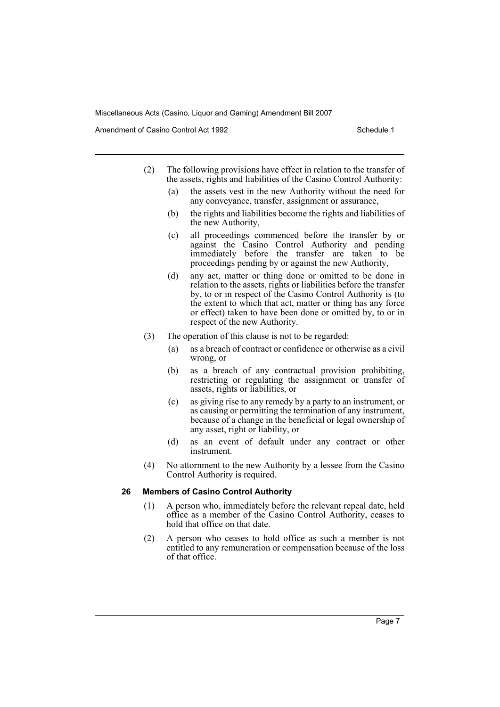Amendment of Casino Control Act 1992 Schedule 1

- (2) The following provisions have effect in relation to the transfer of the assets, rights and liabilities of the Casino Control Authority:
	- (a) the assets vest in the new Authority without the need for any conveyance, transfer, assignment or assurance,
	- (b) the rights and liabilities become the rights and liabilities of the new Authority,
	- (c) all proceedings commenced before the transfer by or against the Casino Control Authority and pending immediately before the transfer are taken to be proceedings pending by or against the new Authority,
	- (d) any act, matter or thing done or omitted to be done in relation to the assets, rights or liabilities before the transfer by, to or in respect of the Casino Control Authority is (to the extent to which that act, matter or thing has any force or effect) taken to have been done or omitted by, to or in respect of the new Authority.
- (3) The operation of this clause is not to be regarded:
	- (a) as a breach of contract or confidence or otherwise as a civil wrong, or
	- (b) as a breach of any contractual provision prohibiting, restricting or regulating the assignment or transfer of assets, rights or liabilities, or
	- (c) as giving rise to any remedy by a party to an instrument, or as causing or permitting the termination of any instrument, because of a change in the beneficial or legal ownership of any asset, right or liability, or
	- (d) as an event of default under any contract or other instrument.
- (4) No attornment to the new Authority by a lessee from the Casino Control Authority is required.

#### **26 Members of Casino Control Authority**

- (1) A person who, immediately before the relevant repeal date, held office as a member of the Casino Control Authority, ceases to hold that office on that date.
- (2) A person who ceases to hold office as such a member is not entitled to any remuneration or compensation because of the loss of that office.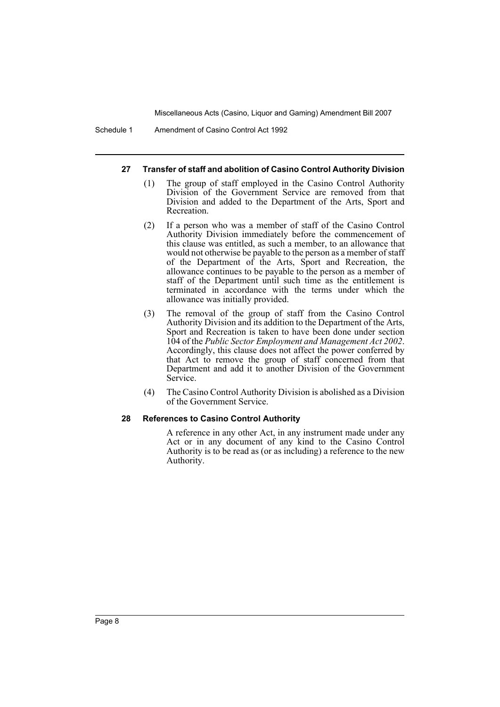Schedule 1 Amendment of Casino Control Act 1992

#### **27 Transfer of staff and abolition of Casino Control Authority Division**

- (1) The group of staff employed in the Casino Control Authority Division of the Government Service are removed from that Division and added to the Department of the Arts, Sport and Recreation.
- (2) If a person who was a member of staff of the Casino Control Authority Division immediately before the commencement of this clause was entitled, as such a member, to an allowance that would not otherwise be payable to the person as a member of staff of the Department of the Arts, Sport and Recreation, the allowance continues to be payable to the person as a member of staff of the Department until such time as the entitlement is terminated in accordance with the terms under which the allowance was initially provided.
- (3) The removal of the group of staff from the Casino Control Authority Division and its addition to the Department of the Arts, Sport and Recreation is taken to have been done under section 104 of the *Public Sector Employment and Management Act 2002*. Accordingly, this clause does not affect the power conferred by that Act to remove the group of staff concerned from that Department and add it to another Division of the Government Service.
- (4) The Casino Control Authority Division is abolished as a Division of the Government Service.

## **28 References to Casino Control Authority**

A reference in any other Act, in any instrument made under any Act or in any document of any kind to the Casino Control Authority is to be read as (or as including) a reference to the new Authority.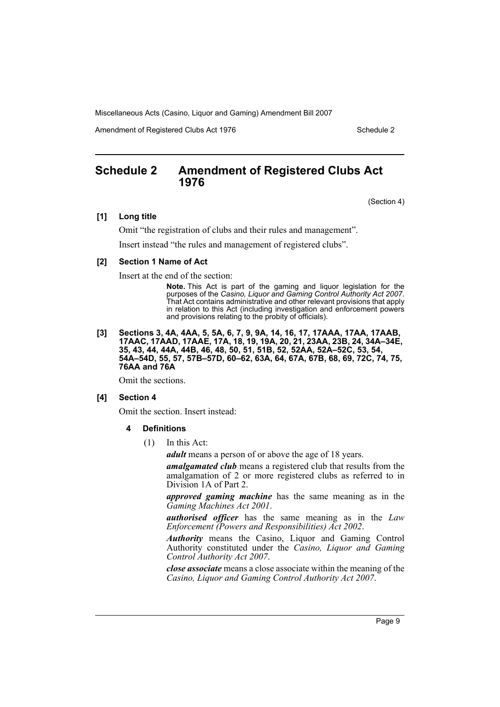Amendment of Registered Clubs Act 1976 Schedule 2

# <span id="page-9-0"></span>**Schedule 2 Amendment of Registered Clubs Act 1976**

(Section 4)

#### **[1] Long title**

Omit "the registration of clubs and their rules and management". Insert instead "the rules and management of registered clubs".

#### **[2] Section 1 Name of Act**

Insert at the end of the section:

**Note.** This Act is part of the gaming and liquor legislation for the purposes of the *Casino, Liquor and Gaming Control Authority Act 2007*. That Act contains administrative and other relevant provisions that apply in relation to this Act (including investigation and enforcement powers and provisions relating to the probity of officials).

#### **[3] Sections 3, 4A, 4AA, 5, 5A, 6, 7, 9, 9A, 14, 16, 17, 17AAA, 17AA, 17AAB, 17AAC, 17AAD, 17AAE, 17A, 18, 19, 19A, 20, 21, 23AA, 23B, 24, 34A–34E, 35, 43, 44, 44A, 44B, 46, 48, 50, 51, 51B, 52, 52AA, 52A–52C, 53, 54, 54A–54D, 55, 57, 57B–57D, 60–62, 63A, 64, 67A, 67B, 68, 69, 72C, 74, 75, 76AA and 76A**

Omit the sections.

#### **[4] Section 4**

Omit the section. Insert instead:

- **4 Definitions**
	- (1) In this Act:

*adult* means a person of or above the age of 18 years.

*amalgamated club* means a registered club that results from the amalgamation of 2 or more registered clubs as referred to in Division 1A of Part 2.

*approved gaming machine* has the same meaning as in the *Gaming Machines Act 2001*.

*authorised officer* has the same meaning as in the *Law Enforcement (Powers and Responsibilities) Act 2002*.

*Authority* means the Casino, Liquor and Gaming Control Authority constituted under the *Casino, Liquor and Gaming Control Authority Act 2007*.

*close associate* means a close associate within the meaning of the *Casino, Liquor and Gaming Control Authority Act 2007*.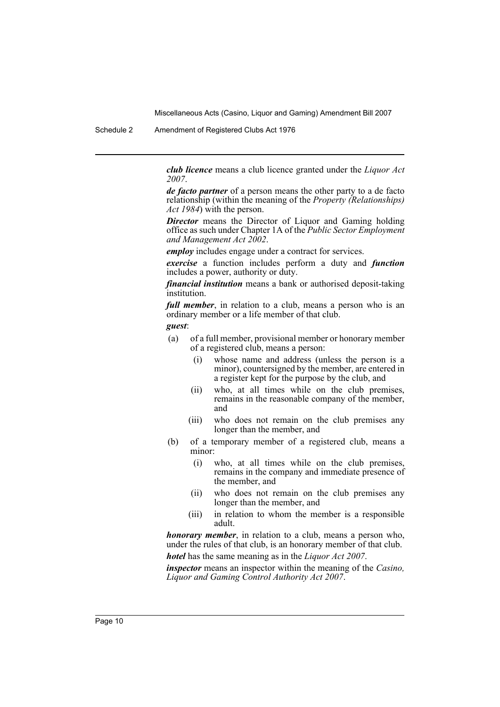Schedule 2 Amendment of Registered Clubs Act 1976

*club licence* means a club licence granted under the *Liquor Act 2007*.

*de facto partner* of a person means the other party to a de facto relationship (within the meaning of the *Property (Relationships) Act 1984*) with the person.

*Director* means the Director of Liquor and Gaming holding office as such under Chapter 1A of the *Public Sector Employment and Management Act 2002*.

*employ* includes engage under a contract for services.

*exercise* a function includes perform a duty and *function* includes a power, authority or duty.

*financial institution* means a bank or authorised deposit-taking institution.

*full member*, in relation to a club, means a person who is an ordinary member or a life member of that club.

*guest*:

- (a) of a full member, provisional member or honorary member of a registered club, means a person:
	- (i) whose name and address (unless the person is a minor), countersigned by the member, are entered in a register kept for the purpose by the club, and
	- (ii) who, at all times while on the club premises, remains in the reasonable company of the member, and
	- (iii) who does not remain on the club premises any longer than the member, and
- (b) of a temporary member of a registered club, means a minor:
	- (i) who, at all times while on the club premises, remains in the company and immediate presence of the member, and
	- (ii) who does not remain on the club premises any longer than the member, and
	- (iii) in relation to whom the member is a responsible adult.

*honorary member*, in relation to a club, means a person who, under the rules of that club, is an honorary member of that club. *hotel* has the same meaning as in the *Liquor Act 2007*.

*inspector* means an inspector within the meaning of the *Casino, Liquor and Gaming Control Authority Act 2007*.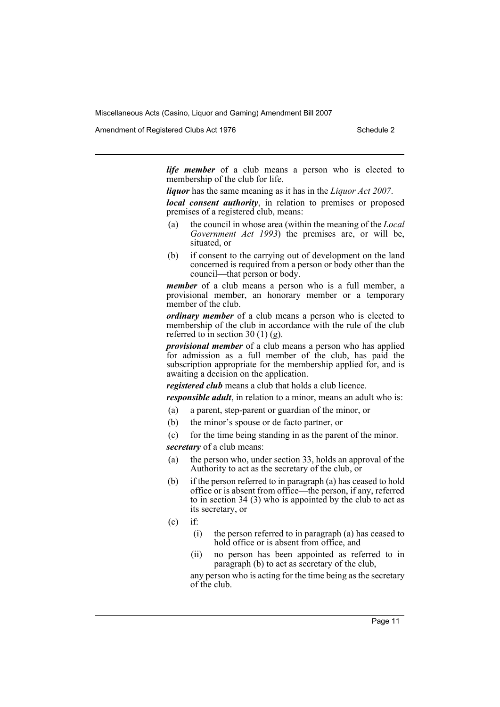Amendment of Registered Clubs Act 1976 Schedule 2

*life member* of a club means a person who is elected to membership of the club for life.

*liquor* has the same meaning as it has in the *Liquor Act 2007*.

*local consent authority*, in relation to premises or proposed premises of a registered club, means:

- (a) the council in whose area (within the meaning of the *Local Government Act 1993*) the premises are, or will be, situated, or
- (b) if consent to the carrying out of development on the land concerned is required from a person or body other than the council—that person or body.

*member* of a club means a person who is a full member, a provisional member, an honorary member or a temporary member of the club.

*ordinary member* of a club means a person who is elected to membership of the club in accordance with the rule of the club referred to in section 30  $(1)$  (g).

*provisional member* of a club means a person who has applied for admission as a full member of the club, has paid the subscription appropriate for the membership applied for, and is awaiting a decision on the application.

*registered club* means a club that holds a club licence.

*responsible adult*, in relation to a minor, means an adult who is:

- (a) a parent, step-parent or guardian of the minor, or
- (b) the minor's spouse or de facto partner, or
- (c) for the time being standing in as the parent of the minor.

*secretary* of a club means:

- (a) the person who, under section 33, holds an approval of the Authority to act as the secretary of the club, or
- (b) if the person referred to in paragraph (a) has ceased to hold office or is absent from office—the person, if any, referred to in section 34 (3) who is appointed by the club to act as its secretary, or
- $(c)$  if:
	- (i) the person referred to in paragraph (a) has ceased to hold office or is absent from office, and
	- (ii) no person has been appointed as referred to in paragraph (b) to act as secretary of the club,

any person who is acting for the time being as the secretary of the club.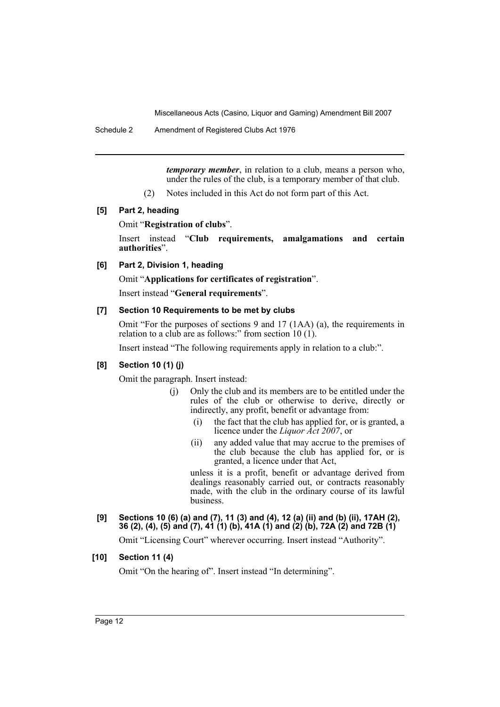Schedule 2 Amendment of Registered Clubs Act 1976

*temporary member*, in relation to a club, means a person who, under the rules of the club, is a temporary member of that club.

(2) Notes included in this Act do not form part of this Act.

## **[5] Part 2, heading**

#### Omit "**Registration of clubs**".

Insert instead "**Club requirements, amalgamations and certain authorities**".

#### **[6] Part 2, Division 1, heading**

Omit "**Applications for certificates of registration**".

Insert instead "**General requirements**".

#### **[7] Section 10 Requirements to be met by clubs**

Omit "For the purposes of sections 9 and 17 (1AA) (a), the requirements in relation to a club are as follows:" from section  $10(1)$ .

Insert instead "The following requirements apply in relation to a club:".

## **[8] Section 10 (1) (j)**

Omit the paragraph. Insert instead:

- (j) Only the club and its members are to be entitled under the rules of the club or otherwise to derive, directly or indirectly, any profit, benefit or advantage from:
	- (i) the fact that the club has applied for, or is granted, a licence under the *Liquor Act 2007*, or
	- (ii) any added value that may accrue to the premises of the club because the club has applied for, or is granted, a licence under that Act,

unless it is a profit, benefit or advantage derived from dealings reasonably carried out, or contracts reasonably made, with the club in the ordinary course of its lawful business.

## **[9] Sections 10 (6) (a) and (7), 11 (3) and (4), 12 (a) (ii) and (b) (ii), 17AH (2), 36 (2), (4), (5) and (7), 41 (1) (b), 41A (1) and (2) (b), 72A (2) and 72B (1)**

Omit "Licensing Court" wherever occurring. Insert instead "Authority".

## **[10] Section 11 (4)**

Omit "On the hearing of". Insert instead "In determining".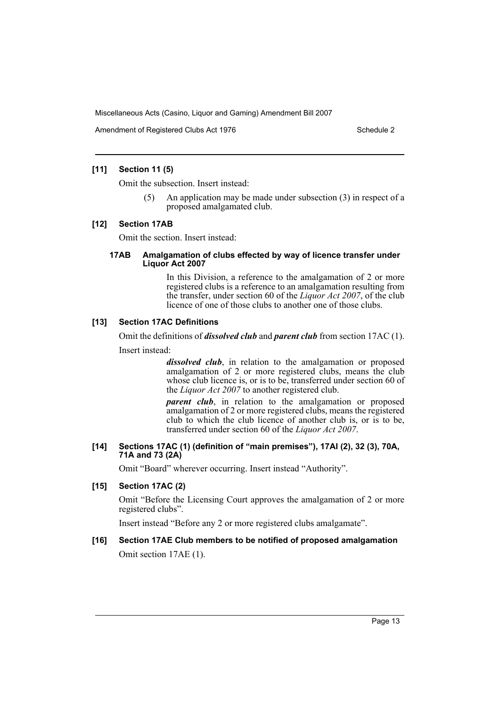Amendment of Registered Clubs Act 1976 Schedule 2

## **[11] Section 11 (5)**

Omit the subsection. Insert instead:

(5) An application may be made under subsection (3) in respect of a proposed amalgamated club.

#### **[12] Section 17AB**

Omit the section. Insert instead:

#### **17AB Amalgamation of clubs effected by way of licence transfer under Liquor Act 2007**

In this Division, a reference to the amalgamation of 2 or more registered clubs is a reference to an amalgamation resulting from the transfer, under section 60 of the *Liquor Act 2007*, of the club licence of one of those clubs to another one of those clubs.

#### **[13] Section 17AC Definitions**

Omit the definitions of *dissolved club* and *parent club* from section 17AC (1).

Insert instead:

*dissolved club*, in relation to the amalgamation or proposed amalgamation of 2 or more registered clubs, means the club whose club licence is, or is to be, transferred under section 60 of the *Liquor Act 2007* to another registered club.

*parent club*, in relation to the amalgamation or proposed amalgamation of 2 or more registered clubs, means the registered club to which the club licence of another club is, or is to be, transferred under section 60 of the *Liquor Act 2007*.

#### **[14] Sections 17AC (1) (definition of "main premises"), 17AI (2), 32 (3), 70A, 71A and 73 (2A)**

Omit "Board" wherever occurring. Insert instead "Authority".

## **[15] Section 17AC (2)**

Omit "Before the Licensing Court approves the amalgamation of 2 or more registered clubs".

Insert instead "Before any 2 or more registered clubs amalgamate".

## **[16] Section 17AE Club members to be notified of proposed amalgamation**

Omit section 17AE (1).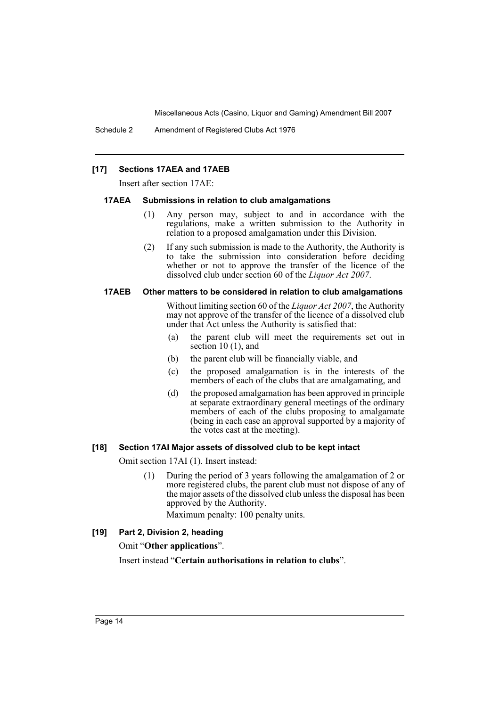Schedule 2 Amendment of Registered Clubs Act 1976

#### **[17] Sections 17AEA and 17AEB**

Insert after section 17AE:

#### **17AEA Submissions in relation to club amalgamations**

- (1) Any person may, subject to and in accordance with the regulations, make a written submission to the Authority in relation to a proposed amalgamation under this Division.
- (2) If any such submission is made to the Authority, the Authority is to take the submission into consideration before deciding whether or not to approve the transfer of the licence of the dissolved club under section 60 of the *Liquor Act 2007*.

#### **17AEB Other matters to be considered in relation to club amalgamations**

Without limiting section 60 of the *Liquor Act 2007*, the Authority may not approve of the transfer of the licence of a dissolved club under that Act unless the Authority is satisfied that:

- (a) the parent club will meet the requirements set out in section 10 (1), and
- (b) the parent club will be financially viable, and
- (c) the proposed amalgamation is in the interests of the members of each of the clubs that are amalgamating, and
- (d) the proposed amalgamation has been approved in principle at separate extraordinary general meetings of the ordinary members of each of the clubs proposing to amalgamate (being in each case an approval supported by a majority of the votes cast at the meeting).

#### **[18] Section 17AI Major assets of dissolved club to be kept intact**

Omit section 17AI (1). Insert instead:

(1) During the period of 3 years following the amalgamation of 2 or more registered clubs, the parent club must not dispose of any of the major assets of the dissolved club unless the disposal has been approved by the Authority.

Maximum penalty: 100 penalty units.

#### **[19] Part 2, Division 2, heading**

Omit "**Other applications**".

Insert instead "**Certain authorisations in relation to clubs**".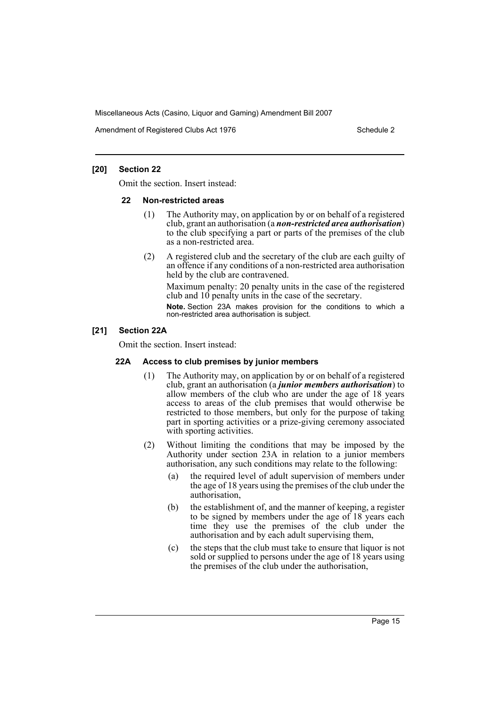Amendment of Registered Clubs Act 1976 Schedule 2

## **[20] Section 22**

Omit the section. Insert instead:

#### **22 Non-restricted areas**

- (1) The Authority may, on application by or on behalf of a registered club, grant an authorisation (a *non-restricted area authorisation*) to the club specifying a part or parts of the premises of the club as a non-restricted area.
- (2) A registered club and the secretary of the club are each guilty of an offence if any conditions of a non-restricted area authorisation held by the club are contravened.

Maximum penalty: 20 penalty units in the case of the registered club and 10 penalty units in the case of the secretary.

**Note.** Section 23A makes provision for the conditions to which a non-restricted area authorisation is subject.

## **[21] Section 22A**

Omit the section. Insert instead:

## **22A Access to club premises by junior members**

- (1) The Authority may, on application by or on behalf of a registered club, grant an authorisation (a *junior members authorisation*) to allow members of the club who are under the age of 18 years access to areas of the club premises that would otherwise be restricted to those members, but only for the purpose of taking part in sporting activities or a prize-giving ceremony associated with sporting activities.
- (2) Without limiting the conditions that may be imposed by the Authority under section 23A in relation to a junior members authorisation, any such conditions may relate to the following:
	- (a) the required level of adult supervision of members under the age of 18 years using the premises of the club under the authorisation,
	- (b) the establishment of, and the manner of keeping, a register to be signed by members under the age of 18 years each time they use the premises of the club under the authorisation and by each adult supervising them,
	- (c) the steps that the club must take to ensure that liquor is not sold or supplied to persons under the age of 18 years using the premises of the club under the authorisation,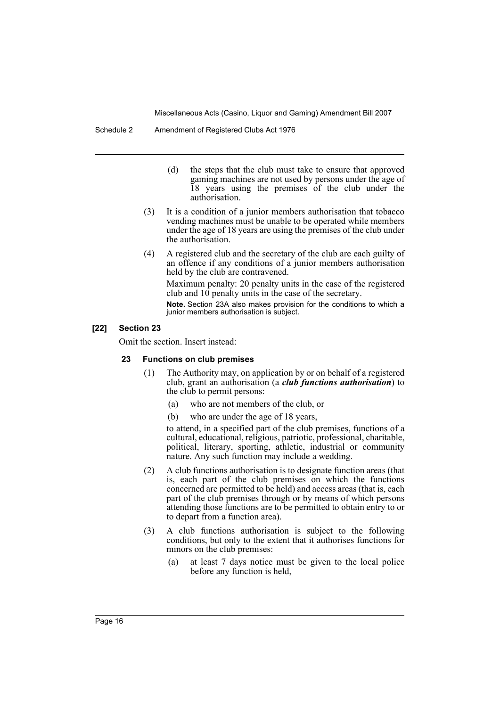- (d) the steps that the club must take to ensure that approved gaming machines are not used by persons under the age of 18 years using the premises of the club under the authorisation.
- (3) It is a condition of a junior members authorisation that tobacco vending machines must be unable to be operated while members under the age of 18 years are using the premises of the club under the authorisation.
- (4) A registered club and the secretary of the club are each guilty of an offence if any conditions of a junior members authorisation held by the club are contravened.

Maximum penalty: 20 penalty units in the case of the registered club and 10 penalty units in the case of the secretary.

**Note.** Section 23A also makes provision for the conditions to which a junior members authorisation is subject.

#### **[22] Section 23**

Omit the section. Insert instead:

#### **23 Functions on club premises**

- (1) The Authority may, on application by or on behalf of a registered club, grant an authorisation (a *club functions authorisation*) to the club to permit persons:
	- (a) who are not members of the club, or
	- (b) who are under the age of 18 years,

to attend, in a specified part of the club premises, functions of a cultural, educational, religious, patriotic, professional, charitable, political, literary, sporting, athletic, industrial or community nature. Any such function may include a wedding.

- (2) A club functions authorisation is to designate function areas (that is, each part of the club premises on which the functions concerned are permitted to be held) and access areas (that is, each part of the club premises through or by means of which persons attending those functions are to be permitted to obtain entry to or to depart from a function area).
- (3) A club functions authorisation is subject to the following conditions, but only to the extent that it authorises functions for minors on the club premises:
	- (a) at least 7 days notice must be given to the local police before any function is held,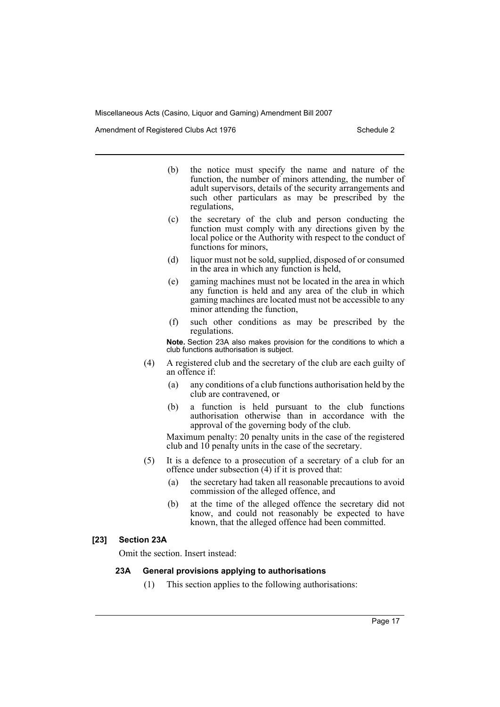Amendment of Registered Clubs Act 1976 Schedule 2

- (b) the notice must specify the name and nature of the function, the number of minors attending, the number of adult supervisors, details of the security arrangements and such other particulars as may be prescribed by the regulations,
- (c) the secretary of the club and person conducting the function must comply with any directions given by the local police or the Authority with respect to the conduct of functions for minors,
- (d) liquor must not be sold, supplied, disposed of or consumed in the area in which any function is held,
- (e) gaming machines must not be located in the area in which any function is held and any area of the club in which gaming machines are located must not be accessible to any minor attending the function,
- (f) such other conditions as may be prescribed by the regulations.

**Note.** Section 23A also makes provision for the conditions to which a club functions authorisation is subject.

- (4) A registered club and the secretary of the club are each guilty of an offence if:
	- (a) any conditions of a club functions authorisation held by the club are contravened, or
	- (b) a function is held pursuant to the club functions authorisation otherwise than in accordance with the approval of the governing body of the club.

Maximum penalty: 20 penalty units in the case of the registered club and  $10$  penalty units in the case of the secretary.

- (5) It is a defence to a prosecution of a secretary of a club for an offence under subsection (4) if it is proved that:
	- (a) the secretary had taken all reasonable precautions to avoid commission of the alleged offence, and
	- (b) at the time of the alleged offence the secretary did not know, and could not reasonably be expected to have known, that the alleged offence had been committed.

#### **[23] Section 23A**

Omit the section. Insert instead:

#### **23A General provisions applying to authorisations**

(1) This section applies to the following authorisations: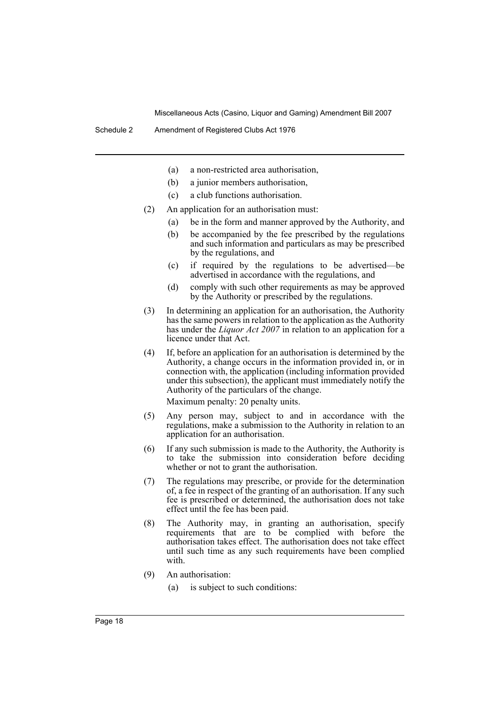- (a) a non-restricted area authorisation,
- (b) a junior members authorisation,
- (c) a club functions authorisation.
- (2) An application for an authorisation must:
	- (a) be in the form and manner approved by the Authority, and
	- (b) be accompanied by the fee prescribed by the regulations and such information and particulars as may be prescribed by the regulations, and
	- (c) if required by the regulations to be advertised—be advertised in accordance with the regulations, and
	- (d) comply with such other requirements as may be approved by the Authority or prescribed by the regulations.
- (3) In determining an application for an authorisation, the Authority has the same powers in relation to the application as the Authority has under the *Liquor Act 2007* in relation to an application for a licence under that Act.
- (4) If, before an application for an authorisation is determined by the Authority, a change occurs in the information provided in, or in connection with, the application (including information provided under this subsection), the applicant must immediately notify the Authority of the particulars of the change.

Maximum penalty: 20 penalty units.

- (5) Any person may, subject to and in accordance with the regulations, make a submission to the Authority in relation to an application for an authorisation.
- (6) If any such submission is made to the Authority, the Authority is to take the submission into consideration before deciding whether or not to grant the authorisation.
- (7) The regulations may prescribe, or provide for the determination of, a fee in respect of the granting of an authorisation. If any such fee is prescribed or determined, the authorisation does not take effect until the fee has been paid.
- (8) The Authority may, in granting an authorisation, specify requirements that are to be complied with before the authorisation takes effect. The authorisation does not take effect until such time as any such requirements have been complied with.
- (9) An authorisation:
	- (a) is subject to such conditions: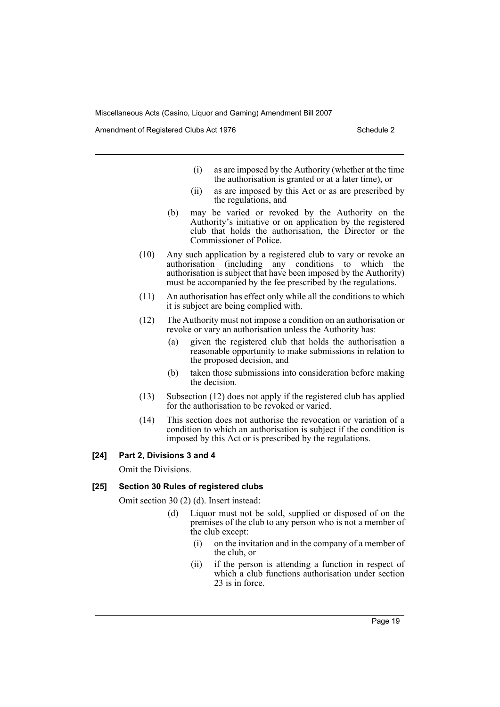Amendment of Registered Clubs Act 1976 Schedule 2

- (i) as are imposed by the Authority (whether at the time the authorisation is granted or at a later time), or
- (ii) as are imposed by this Act or as are prescribed by the regulations, and
- (b) may be varied or revoked by the Authority on the Authority's initiative or on application by the registered club that holds the authorisation, the Director or the Commissioner of Police.
- (10) Any such application by a registered club to vary or revoke an authorisation (including any conditions to which the authorisation is subject that have been imposed by the Authority) must be accompanied by the fee prescribed by the regulations.
- (11) An authorisation has effect only while all the conditions to which it is subject are being complied with.
- (12) The Authority must not impose a condition on an authorisation or revoke or vary an authorisation unless the Authority has:
	- (a) given the registered club that holds the authorisation a reasonable opportunity to make submissions in relation to the proposed decision, and
	- (b) taken those submissions into consideration before making the decision.
- (13) Subsection (12) does not apply if the registered club has applied for the authorisation to be revoked or varied.
- (14) This section does not authorise the revocation or variation of a condition to which an authorisation is subject if the condition is imposed by this Act or is prescribed by the regulations.

#### **[24] Part 2, Divisions 3 and 4**

Omit the Divisions.

#### **[25] Section 30 Rules of registered clubs**

Omit section 30 (2) (d). Insert instead:

- (d) Liquor must not be sold, supplied or disposed of on the premises of the club to any person who is not a member of the club except:
	- (i) on the invitation and in the company of a member of the club, or
	- (ii) if the person is attending a function in respect of which a club functions authorisation under section 23 is in force.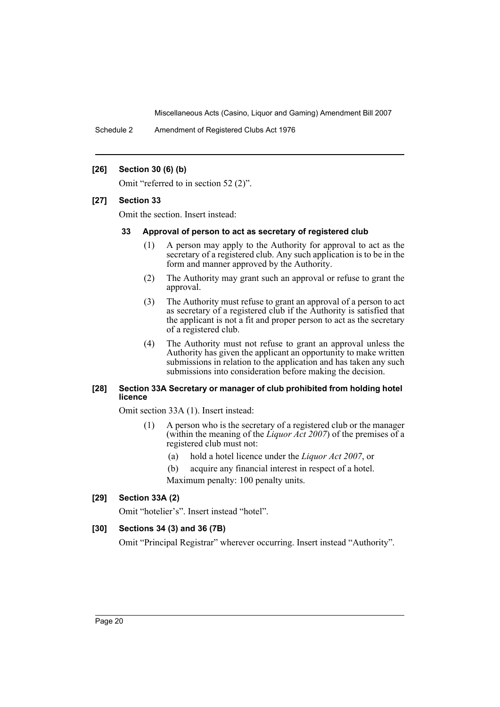Schedule 2 Amendment of Registered Clubs Act 1976

#### **[26] Section 30 (6) (b)**

Omit "referred to in section 52 (2)".

#### **[27] Section 33**

Omit the section. Insert instead:

#### **33 Approval of person to act as secretary of registered club**

- (1) A person may apply to the Authority for approval to act as the secretary of a registered club. Any such application is to be in the form and manner approved by the Authority.
- (2) The Authority may grant such an approval or refuse to grant the approval.
- (3) The Authority must refuse to grant an approval of a person to act as secretary of a registered club if the Authority is satisfied that the applicant is not a fit and proper person to act as the secretary of a registered club.
- (4) The Authority must not refuse to grant an approval unless the Authority has given the applicant an opportunity to make written submissions in relation to the application and has taken any such submissions into consideration before making the decision.

#### **[28] Section 33A Secretary or manager of club prohibited from holding hotel licence**

Omit section 33A (1). Insert instead:

- (1) A person who is the secretary of a registered club or the manager (within the meaning of the *Liquor Act 2007*) of the premises of a registered club must not:
	- (a) hold a hotel licence under the *Liquor Act 2007*, or

(b) acquire any financial interest in respect of a hotel. Maximum penalty: 100 penalty units.

## **[29] Section 33A (2)**

Omit "hotelier's". Insert instead "hotel".

## **[30] Sections 34 (3) and 36 (7B)**

Omit "Principal Registrar" wherever occurring. Insert instead "Authority".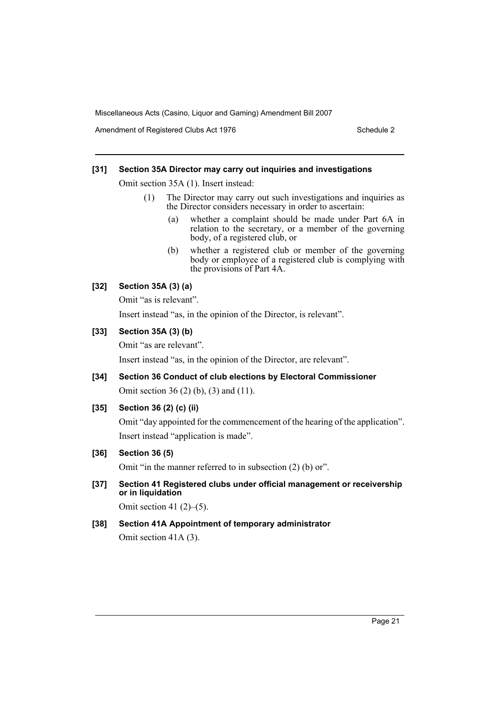Amendment of Registered Clubs Act 1976 Schedule 2

#### **[31] Section 35A Director may carry out inquiries and investigations**

Omit section 35A (1). Insert instead:

- (1) The Director may carry out such investigations and inquiries as the Director considers necessary in order to ascertain:
	- (a) whether a complaint should be made under Part 6A in relation to the secretary, or a member of the governing body, of a registered club, or
	- (b) whether a registered club or member of the governing body or employee of a registered club is complying with the provisions of Part 4A.

## **[32] Section 35A (3) (a)**

Omit "as is relevant".

Insert instead "as, in the opinion of the Director, is relevant".

#### **[33] Section 35A (3) (b)**

Omit "as are relevant".

Insert instead "as, in the opinion of the Director, are relevant".

**[34] Section 36 Conduct of club elections by Electoral Commissioner** Omit section 36 (2) (b), (3) and (11).

## **[35] Section 36 (2) (c) (ii)**

Omit "day appointed for the commencement of the hearing of the application". Insert instead "application is made".

## **[36] Section 36 (5)**

Omit "in the manner referred to in subsection (2) (b) or".

**[37] Section 41 Registered clubs under official management or receivership or in liquidation**

Omit section 41 $(2)$ – $(5)$ .

## **[38] Section 41A Appointment of temporary administrator**

Omit section 41A (3).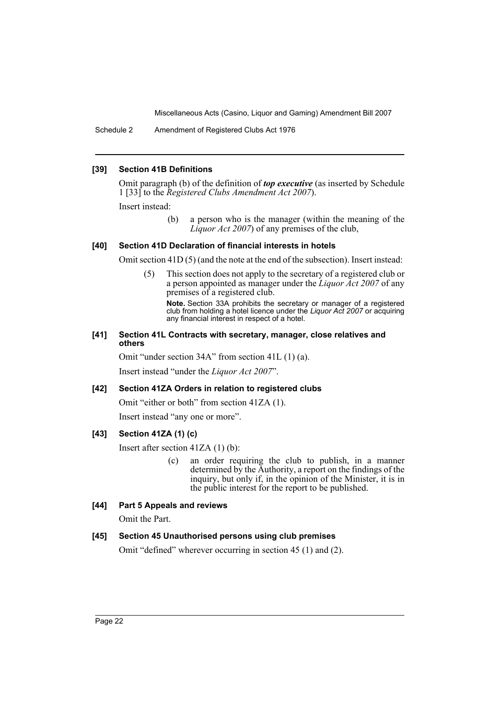Schedule 2 Amendment of Registered Clubs Act 1976

#### **[39] Section 41B Definitions**

Omit paragraph (b) of the definition of *top executive* (as inserted by Schedule 1 [33] to the *Registered Clubs Amendment Act 2007*).

Insert instead:

(b) a person who is the manager (within the meaning of the *Liquor Act 2007*) of any premises of the club,

#### **[40] Section 41D Declaration of financial interests in hotels**

Omit section 41D (5) (and the note at the end of the subsection). Insert instead:

(5) This section does not apply to the secretary of a registered club or a person appointed as manager under the *Liquor Act 2007* of any premises of a registered club.

**Note.** Section 33A prohibits the secretary or manager of a registered club from holding a hotel licence under the *Liquor Act 2007* or acquiring any financial interest in respect of a hotel.

#### **[41] Section 41L Contracts with secretary, manager, close relatives and others**

Omit "under section 34A" from section 41L (1) (a).

Insert instead "under the *Liquor Act 2007*".

#### **[42] Section 41ZA Orders in relation to registered clubs**

Omit "either or both" from section 41ZA (1).

Insert instead "any one or more".

## **[43] Section 41ZA (1) (c)**

Insert after section 41ZA (1) (b):

(c) an order requiring the club to publish, in a manner determined by the Authority, a report on the findings of the inquiry, but only if, in the opinion of the Minister, it is in the public interest for the report to be published.

## **[44] Part 5 Appeals and reviews**

Omit the Part.

## **[45] Section 45 Unauthorised persons using club premises**

Omit "defined" wherever occurring in section 45 (1) and (2).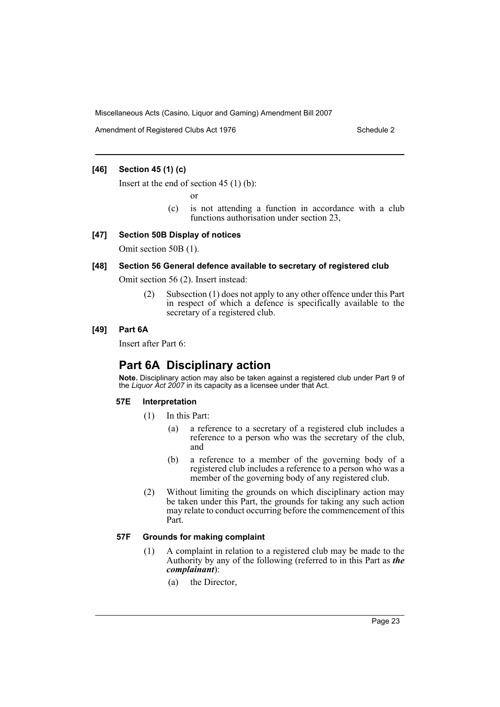Amendment of Registered Clubs Act 1976 Schedule 2

## **[46] Section 45 (1) (c)**

Insert at the end of section 45 (1) (b):

or

(c) is not attending a function in accordance with a club functions authorisation under section 23,

#### **[47] Section 50B Display of notices**

Omit section 50B (1).

### **[48] Section 56 General defence available to secretary of registered club**

Omit section 56 (2). Insert instead:

(2) Subsection (1) does not apply to any other offence under this Part in respect of which a defence is specifically available to the secretary of a registered club.

#### **[49] Part 6A**

Insert after Part 6:

# **Part 6A Disciplinary action**

**Note.** Disciplinary action may also be taken against a registered club under Part 9 of the *Liquor Act 2007* in its capacity as a licensee under that Act.

## **57E Interpretation**

- (1) In this Part:
	- (a) a reference to a secretary of a registered club includes a reference to a person who was the secretary of the club, and
	- (b) a reference to a member of the governing body of a registered club includes a reference to a person who was a member of the governing body of any registered club.
- (2) Without limiting the grounds on which disciplinary action may be taken under this Part, the grounds for taking any such action may relate to conduct occurring before the commencement of this Part.

#### **57F Grounds for making complaint**

- (1) A complaint in relation to a registered club may be made to the Authority by any of the following (referred to in this Part as *the complainant*):
	- (a) the Director,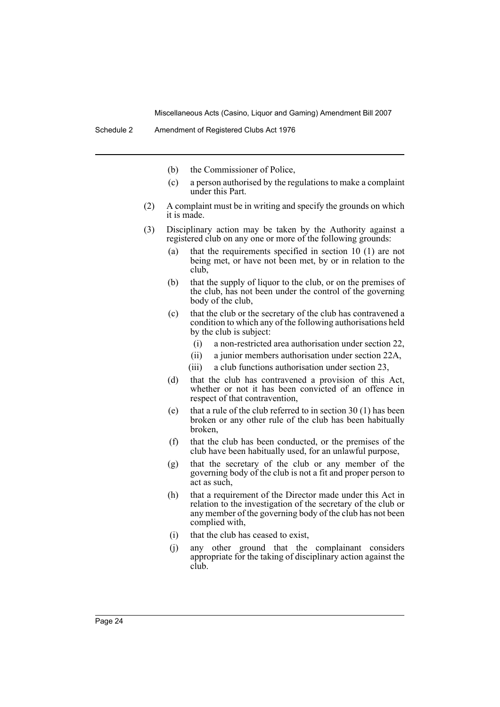- (b) the Commissioner of Police,
- (c) a person authorised by the regulations to make a complaint under this Part.
- (2) A complaint must be in writing and specify the grounds on which it is made.
- (3) Disciplinary action may be taken by the Authority against a registered club on any one or more of the following grounds:
	- (a) that the requirements specified in section 10 (1) are not being met, or have not been met, by or in relation to the club,
	- (b) that the supply of liquor to the club, or on the premises of the club, has not been under the control of the governing body of the club,
	- (c) that the club or the secretary of the club has contravened a condition to which any of the following authorisations held by the club is subject:
		- (i) a non-restricted area authorisation under section 22,
		- (ii) a junior members authorisation under section 22A,
		- (iii) a club functions authorisation under section 23,
	- (d) that the club has contravened a provision of this Act, whether or not it has been convicted of an offence in respect of that contravention,
	- (e) that a rule of the club referred to in section  $30(1)$  has been broken or any other rule of the club has been habitually broken,
	- (f) that the club has been conducted, or the premises of the club have been habitually used, for an unlawful purpose,
	- (g) that the secretary of the club or any member of the governing body of the club is not a fit and proper person to act as such,
	- (h) that a requirement of the Director made under this Act in relation to the investigation of the secretary of the club or any member of the governing body of the club has not been complied with,
	- (i) that the club has ceased to exist,
	- (j) any other ground that the complainant considers appropriate for the taking of disciplinary action against the club.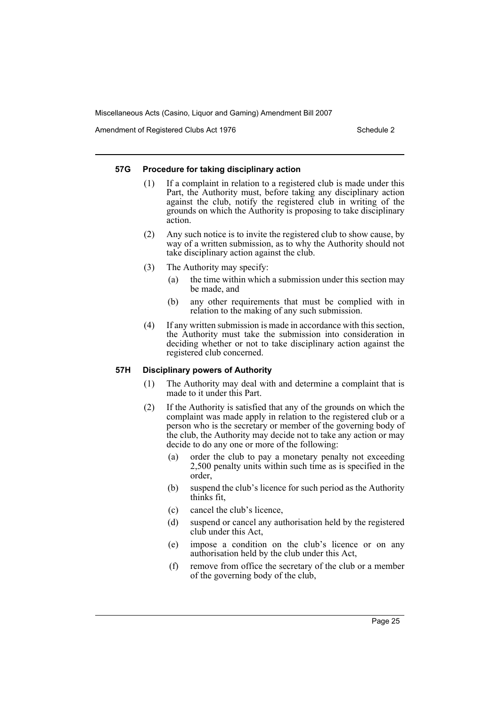Amendment of Registered Clubs Act 1976 Schedule 2

#### **57G Procedure for taking disciplinary action**

- (1) If a complaint in relation to a registered club is made under this Part, the Authority must, before taking any disciplinary action against the club, notify the registered club in writing of the grounds on which the Authority is proposing to take disciplinary action.
- (2) Any such notice is to invite the registered club to show cause, by way of a written submission, as to why the Authority should not take disciplinary action against the club.
- (3) The Authority may specify:
	- (a) the time within which a submission under this section may be made, and
	- (b) any other requirements that must be complied with in relation to the making of any such submission.
- (4) If any written submission is made in accordance with this section, the Authority must take the submission into consideration in deciding whether or not to take disciplinary action against the registered club concerned.

## **57H Disciplinary powers of Authority**

- (1) The Authority may deal with and determine a complaint that is made to it under this Part.
- (2) If the Authority is satisfied that any of the grounds on which the complaint was made apply in relation to the registered club or a person who is the secretary or member of the governing body of the club, the Authority may decide not to take any action or may decide to do any one or more of the following:
	- (a) order the club to pay a monetary penalty not exceeding 2,500 penalty units within such time as is specified in the order,
	- (b) suspend the club's licence for such period as the Authority thinks fit,
	- (c) cancel the club's licence,
	- (d) suspend or cancel any authorisation held by the registered club under this Act,
	- (e) impose a condition on the club's licence or on any authorisation held by the club under this Act,
	- (f) remove from office the secretary of the club or a member of the governing body of the club,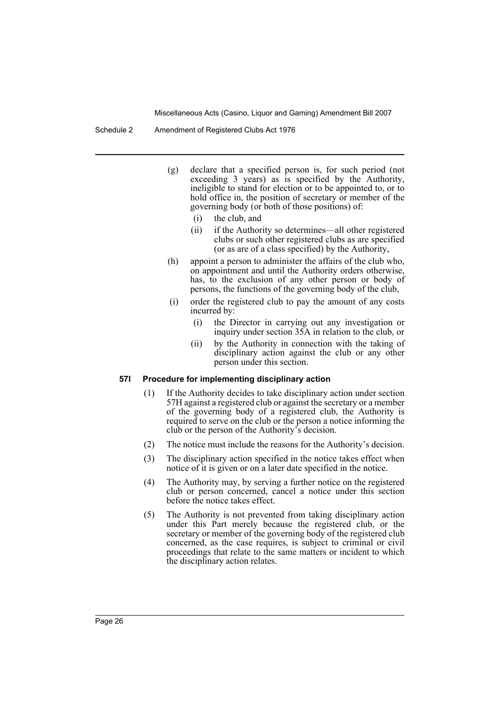- (g) declare that a specified person is, for such period (not exceeding 3 years) as is specified by the Authority, ineligible to stand for election or to be appointed to, or to hold office in, the position of secretary or member of the governing body (or both of those positions) of:
	- (i) the club, and
	- (ii) if the Authority so determines—all other registered clubs or such other registered clubs as are specified (or as are of a class specified) by the Authority,
- (h) appoint a person to administer the affairs of the club who, on appointment and until the Authority orders otherwise, has, to the exclusion of any other person or body of persons, the functions of the governing body of the club,
- (i) order the registered club to pay the amount of any costs incurred by:
	- (i) the Director in carrying out any investigation or inquiry under section 35A in relation to the club, or
	- (ii) by the Authority in connection with the taking of disciplinary action against the club or any other person under this section.

#### **57I Procedure for implementing disciplinary action**

- (1) If the Authority decides to take disciplinary action under section 57H against a registered club or against the secretary or a member of the governing body of a registered club, the Authority is required to serve on the club or the person a notice informing the club or the person of the Authority's decision.
- (2) The notice must include the reasons for the Authority's decision.
- (3) The disciplinary action specified in the notice takes effect when notice of it is given or on a later date specified in the notice.
- (4) The Authority may, by serving a further notice on the registered club or person concerned, cancel a notice under this section before the notice takes effect.
- (5) The Authority is not prevented from taking disciplinary action under this Part merely because the registered club, or the secretary or member of the governing body of the registered club concerned, as the case requires, is subject to criminal or civil proceedings that relate to the same matters or incident to which the disciplinary action relates.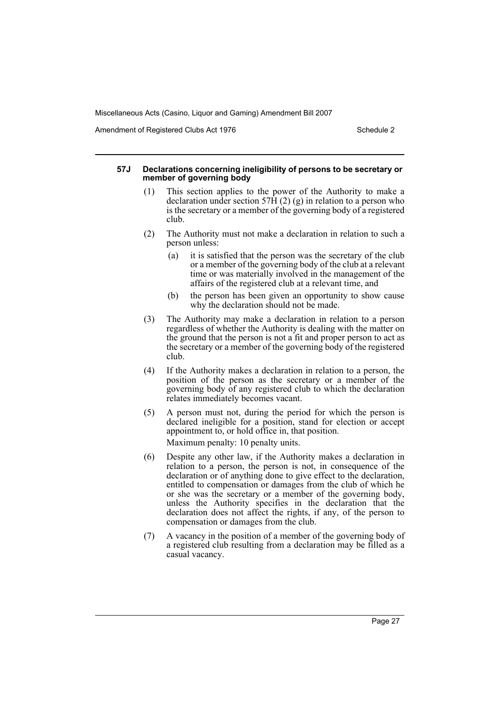Amendment of Registered Clubs Act 1976 Schedule 2

#### **57J Declarations concerning ineligibility of persons to be secretary or member of governing body**

- (1) This section applies to the power of the Authority to make a declaration under section 57 $\overline{H}$  (2) (g) in relation to a person who is the secretary or a member of the governing body of a registered club.
- (2) The Authority must not make a declaration in relation to such a person unless:
	- (a) it is satisfied that the person was the secretary of the club or a member of the governing body of the club at a relevant time or was materially involved in the management of the affairs of the registered club at a relevant time, and
	- (b) the person has been given an opportunity to show cause why the declaration should not be made.
- (3) The Authority may make a declaration in relation to a person regardless of whether the Authority is dealing with the matter on the ground that the person is not a fit and proper person to act as the secretary or a member of the governing body of the registered club.
- (4) If the Authority makes a declaration in relation to a person, the position of the person as the secretary or a member of the governing body of any registered club to which the declaration relates immediately becomes vacant.
- (5) A person must not, during the period for which the person is declared ineligible for a position, stand for election or accept appointment to, or hold office in, that position. Maximum penalty: 10 penalty units.
- (6) Despite any other law, if the Authority makes a declaration in relation to a person, the person is not, in consequence of the declaration or of anything done to give effect to the declaration, entitled to compensation or damages from the club of which he or she was the secretary or a member of the governing body, unless the Authority specifies in the declaration that the declaration does not affect the rights, if any, of the person to compensation or damages from the club.
- (7) A vacancy in the position of a member of the governing body of a registered club resulting from a declaration may be filled as a casual vacancy.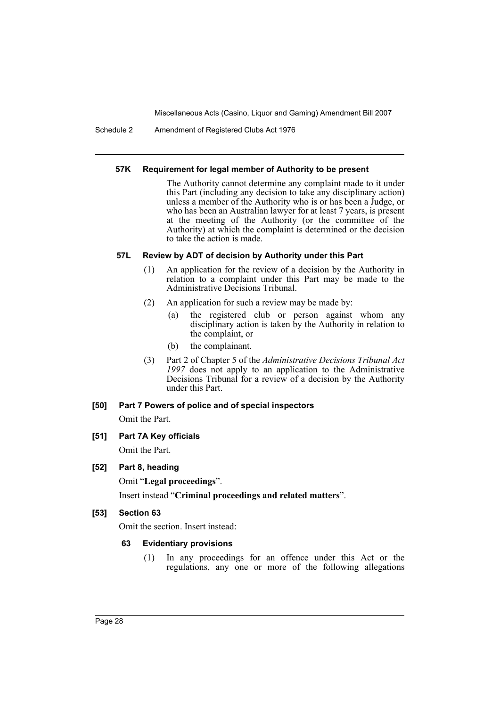Schedule 2 Amendment of Registered Clubs Act 1976

#### **57K Requirement for legal member of Authority to be present**

The Authority cannot determine any complaint made to it under this Part (including any decision to take any disciplinary action) unless a member of the Authority who is or has been a Judge, or who has been an Australian lawyer for at least 7 years, is present at the meeting of the Authority (or the committee of the Authority) at which the complaint is determined or the decision to take the action is made.

## **57L Review by ADT of decision by Authority under this Part**

- (1) An application for the review of a decision by the Authority in relation to a complaint under this Part may be made to the Administrative Decisions Tribunal.
- (2) An application for such a review may be made by:
	- (a) the registered club or person against whom any disciplinary action is taken by the Authority in relation to the complaint, or
	- (b) the complainant.
- (3) Part 2 of Chapter 5 of the *Administrative Decisions Tribunal Act 1997* does not apply to an application to the Administrative Decisions Tribunal for a review of a decision by the Authority under this Part.

## **[50] Part 7 Powers of police and of special inspectors**

Omit the Part.

## **[51] Part 7A Key officials**

Omit the Part.

## **[52] Part 8, heading**

Omit "**Legal proceedings**".

Insert instead "**Criminal proceedings and related matters**".

## **[53] Section 63**

Omit the section. Insert instead:

## **63 Evidentiary provisions**

(1) In any proceedings for an offence under this Act or the regulations, any one or more of the following allegations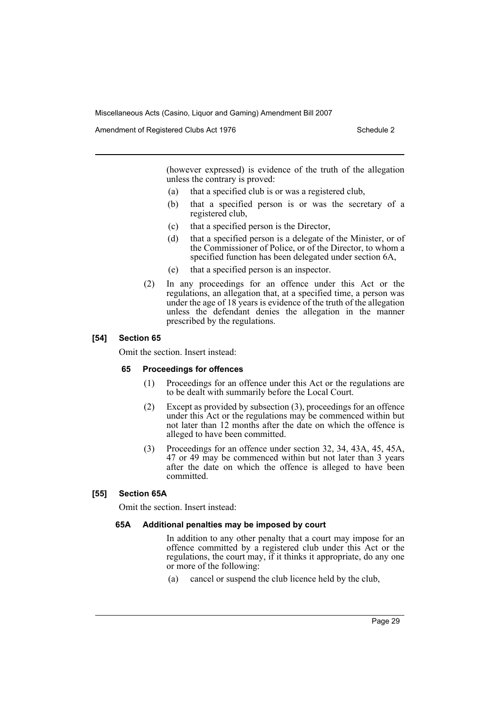Amendment of Registered Clubs Act 1976 Schedule 2

(however expressed) is evidence of the truth of the allegation unless the contrary is proved:

- (a) that a specified club is or was a registered club,
- (b) that a specified person is or was the secretary of a registered club,
- (c) that a specified person is the Director,
- (d) that a specified person is a delegate of the Minister, or of the Commissioner of Police, or of the Director, to whom a specified function has been delegated under section 6A,
- (e) that a specified person is an inspector.
- (2) In any proceedings for an offence under this Act or the regulations, an allegation that, at a specified time, a person was under the age of 18 years is evidence of the truth of the allegation unless the defendant denies the allegation in the manner prescribed by the regulations.

#### **[54] Section 65**

Omit the section. Insert instead:

#### **65 Proceedings for offences**

- (1) Proceedings for an offence under this Act or the regulations are to be dealt with summarily before the Local Court.
- (2) Except as provided by subsection (3), proceedings for an offence under this Act or the regulations may be commenced within but not later than 12 months after the date on which the offence is alleged to have been committed.
- (3) Proceedings for an offence under section 32, 34, 43A, 45, 45A, 47 or 49 may be commenced within but not later than 3 years after the date on which the offence is alleged to have been committed.

## **[55] Section 65A**

Omit the section. Insert instead:

#### **65A Additional penalties may be imposed by court**

In addition to any other penalty that a court may impose for an offence committed by a registered club under this Act or the regulations, the court may, if it thinks it appropriate, do any one or more of the following:

(a) cancel or suspend the club licence held by the club,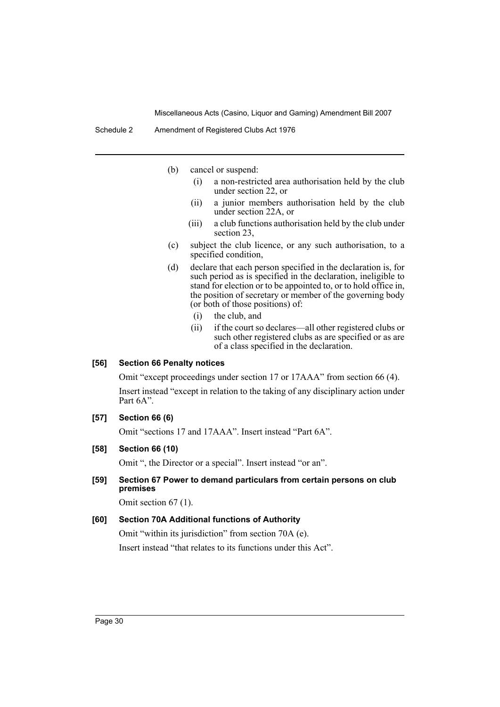Schedule 2 Amendment of Registered Clubs Act 1976

(b) cancel or suspend:

- (i) a non-restricted area authorisation held by the club under section 22, or
- (ii) a junior members authorisation held by the club under section 22A, or
- (iii) a club functions authorisation held by the club under section 23,
- (c) subject the club licence, or any such authorisation, to a specified condition,
- (d) declare that each person specified in the declaration is, for such period as is specified in the declaration, ineligible to stand for election or to be appointed to, or to hold office in, the position of secretary or member of the governing body (or both of those positions) of:
	- (i) the club, and
	- (ii) if the court so declares—all other registered clubs or such other registered clubs as are specified or as are of a class specified in the declaration.

## **[56] Section 66 Penalty notices**

Omit "except proceedings under section 17 or 17AAA" from section 66 (4).

Insert instead "except in relation to the taking of any disciplinary action under Part 6A".

## **[57] Section 66 (6)**

Omit "sections 17 and 17AAA". Insert instead "Part 6A".

## **[58] Section 66 (10)**

Omit ", the Director or a special". Insert instead "or an".

## **[59] Section 67 Power to demand particulars from certain persons on club premises**

Omit section 67 (1).

## **[60] Section 70A Additional functions of Authority**

Omit "within its jurisdiction" from section 70A (e). Insert instead "that relates to its functions under this Act".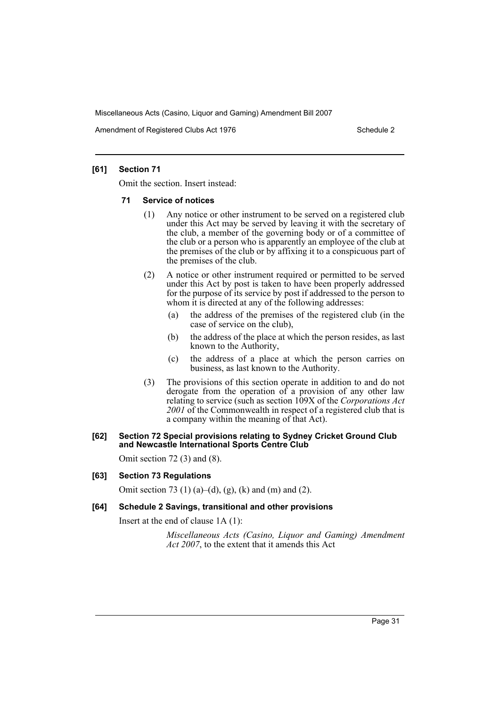Amendment of Registered Clubs Act 1976 Schedule 2

#### **[61] Section 71**

Omit the section. Insert instead:

#### **71 Service of notices**

- (1) Any notice or other instrument to be served on a registered club under this Act may be served by leaving it with the secretary of the club, a member of the governing body or of a committee of the club or a person who is apparently an employee of the club at the premises of the club or by affixing it to a conspicuous part of the premises of the club.
- (2) A notice or other instrument required or permitted to be served under this Act by post is taken to have been properly addressed for the purpose of its service by post if addressed to the person to whom it is directed at any of the following addresses:
	- (a) the address of the premises of the registered club (in the case of service on the club),
	- (b) the address of the place at which the person resides, as last known to the Authority,
	- (c) the address of a place at which the person carries on business, as last known to the Authority.
- (3) The provisions of this section operate in addition to and do not derogate from the operation of a provision of any other law relating to service (such as section 109X of the *Corporations Act 2001* of the Commonwealth in respect of a registered club that is a company within the meaning of that Act).

#### **[62] Section 72 Special provisions relating to Sydney Cricket Ground Club and Newcastle International Sports Centre Club**

Omit section 72 (3) and (8).

#### **[63] Section 73 Regulations**

Omit section 73 (1) (a)–(d), (g), (k) and (m) and (2).

#### **[64] Schedule 2 Savings, transitional and other provisions**

Insert at the end of clause 1A (1):

*Miscellaneous Acts (Casino, Liquor and Gaming) Amendment Act 2007*, to the extent that it amends this Act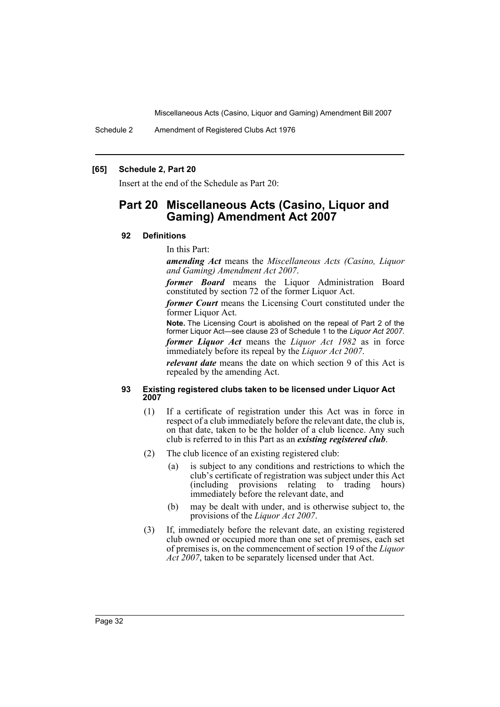Schedule 2 Amendment of Registered Clubs Act 1976

#### **[65] Schedule 2, Part 20**

Insert at the end of the Schedule as Part 20:

# **Part 20 Miscellaneous Acts (Casino, Liquor and Gaming) Amendment Act 2007**

#### **92 Definitions**

#### In this Part:

*amending Act* means the *Miscellaneous Acts (Casino, Liquor and Gaming) Amendment Act 2007*.

*former Board* means the Liquor Administration Board constituted by section 72 of the former Liquor Act.

*former Court* means the Licensing Court constituted under the former Liquor Act.

**Note.** The Licensing Court is abolished on the repeal of Part 2 of the former Liquor Act—see clause 23 of Schedule 1 to the *Liquor Act 2007*.

*former Liquor Act* means the *Liquor Act 1982* as in force immediately before its repeal by the *Liquor Act 2007*.

*relevant date* means the date on which section 9 of this Act is repealed by the amending Act.

#### **93 Existing registered clubs taken to be licensed under Liquor Act 2007**

- (1) If a certificate of registration under this Act was in force in respect of a club immediately before the relevant date, the club is, on that date, taken to be the holder of a club licence. Any such club is referred to in this Part as an *existing registered club*.
- (2) The club licence of an existing registered club:
	- (a) is subject to any conditions and restrictions to which the club's certificate of registration was subject under this Act (including provisions relating to trading hours) immediately before the relevant date, and
	- (b) may be dealt with under, and is otherwise subject to, the provisions of the *Liquor Act 2007*.
- (3) If, immediately before the relevant date, an existing registered club owned or occupied more than one set of premises, each set of premises is, on the commencement of section 19 of the *Liquor Act 2007*, taken to be separately licensed under that Act.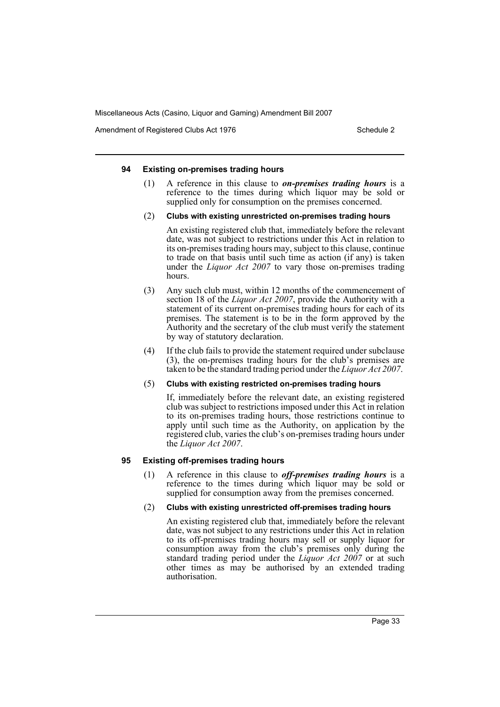Amendment of Registered Clubs Act 1976 Schedule 2

#### **94 Existing on-premises trading hours**

- (1) A reference in this clause to *on-premises trading hours* is a reference to the times during which liquor may be sold or supplied only for consumption on the premises concerned.
- (2) **Clubs with existing unrestricted on-premises trading hours**

An existing registered club that, immediately before the relevant date, was not subject to restrictions under this Act in relation to its on-premises trading hours may, subject to this clause, continue to trade on that basis until such time as action (if any) is taken under the *Liquor Act 2007* to vary those on-premises trading hours.

- (3) Any such club must, within 12 months of the commencement of section 18 of the *Liquor Act 2007*, provide the Authority with a statement of its current on-premises trading hours for each of its premises. The statement is to be in the form approved by the Authority and the secretary of the club must verify the statement by way of statutory declaration.
- (4) If the club fails to provide the statement required under subclause (3), the on-premises trading hours for the club's premises are taken to be the standard trading period under the *Liquor Act 2007*.

#### (5) **Clubs with existing restricted on-premises trading hours**

If, immediately before the relevant date, an existing registered club was subject to restrictions imposed under this Act in relation to its on-premises trading hours, those restrictions continue to apply until such time as the Authority, on application by the registered club, varies the club's on-premises trading hours under the *Liquor Act 2007*.

## **95 Existing off-premises trading hours**

(1) A reference in this clause to *off-premises trading hours* is a reference to the times during which liquor may be sold or supplied for consumption away from the premises concerned.

## (2) **Clubs with existing unrestricted off-premises trading hours**

An existing registered club that, immediately before the relevant date, was not subject to any restrictions under this Act in relation to its off-premises trading hours may sell or supply liquor for consumption away from the club's premises only during the standard trading period under the *Liquor Act 2007* or at such other times as may be authorised by an extended trading authorisation.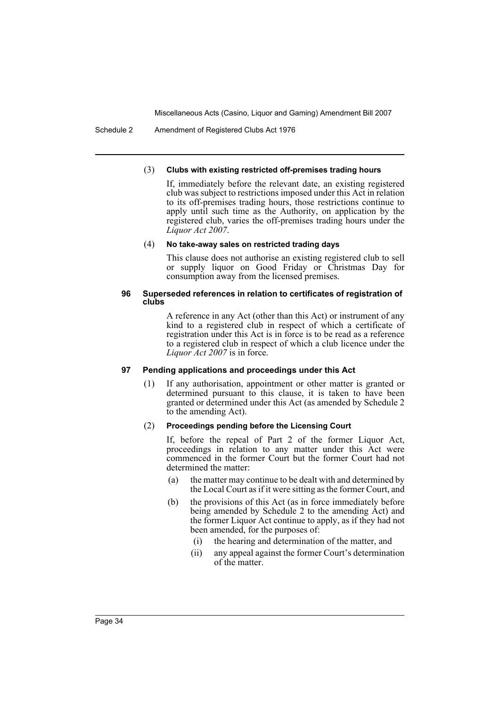Schedule 2 Amendment of Registered Clubs Act 1976

#### (3) **Clubs with existing restricted off-premises trading hours**

If, immediately before the relevant date, an existing registered club was subject to restrictions imposed under this Act in relation to its off-premises trading hours, those restrictions continue to apply until such time as the Authority, on application by the registered club, varies the off-premises trading hours under the *Liquor Act 2007*.

## (4) **No take-away sales on restricted trading days**

This clause does not authorise an existing registered club to sell or supply liquor on Good Friday or Christmas Day for consumption away from the licensed premises.

#### **96 Superseded references in relation to certificates of registration of clubs**

A reference in any Act (other than this Act) or instrument of any kind to a registered club in respect of which a certificate of registration under this Act is in force is to be read as a reference to a registered club in respect of which a club licence under the *Liquor Act 2007* is in force.

## **97 Pending applications and proceedings under this Act**

(1) If any authorisation, appointment or other matter is granted or determined pursuant to this clause, it is taken to have been granted or determined under this Act (as amended by Schedule 2 to the amending Act).

## (2) **Proceedings pending before the Licensing Court**

If, before the repeal of Part 2 of the former Liquor Act, proceedings in relation to any matter under this Act were commenced in the former Court but the former Court had not determined the matter:

- (a) the matter may continue to be dealt with and determined by the Local Court as if it were sitting as the former Court, and
- (b) the provisions of this Act (as in force immediately before being amended by Schedule 2 to the amending Act) and the former Liquor Act continue to apply, as if they had not been amended, for the purposes of:
	- (i) the hearing and determination of the matter, and
	- (ii) any appeal against the former Court's determination of the matter.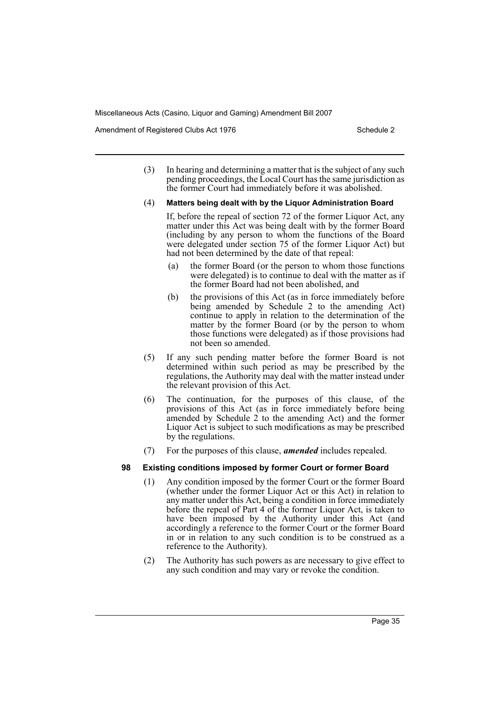Amendment of Registered Clubs Act 1976 Schedule 2

(3) In hearing and determining a matter that is the subject of any such pending proceedings, the Local Court has the same jurisdiction as the former Court had immediately before it was abolished.

#### (4) **Matters being dealt with by the Liquor Administration Board**

- If, before the repeal of section 72 of the former Liquor Act, any matter under this Act was being dealt with by the former Board (including by any person to whom the functions of the Board were delegated under section 75 of the former Liquor Act) but had not been determined by the date of that repeal:
- (a) the former Board (or the person to whom those functions were delegated) is to continue to deal with the matter as if the former Board had not been abolished, and
- (b) the provisions of this Act (as in force immediately before being amended by Schedule 2 to the amending Act) continue to apply in relation to the determination of the matter by the former Board (or by the person to whom those functions were delegated) as if those provisions had not been so amended.
- (5) If any such pending matter before the former Board is not determined within such period as may be prescribed by the regulations, the Authority may deal with the matter instead under the relevant provision of this Act.
- (6) The continuation, for the purposes of this clause, of the provisions of this Act (as in force immediately before being amended by Schedule  $2$  to the amending Act) and the former Liquor Act is subject to such modifications as may be prescribed by the regulations.
- (7) For the purposes of this clause, *amended* includes repealed.

## **98 Existing conditions imposed by former Court or former Board**

- (1) Any condition imposed by the former Court or the former Board (whether under the former Liquor Act or this Act) in relation to any matter under this Act, being a condition in force immediately before the repeal of Part 4 of the former Liquor Act, is taken to have been imposed by the Authority under this Act (and accordingly a reference to the former Court or the former Board in or in relation to any such condition is to be construed as a reference to the Authority).
- (2) The Authority has such powers as are necessary to give effect to any such condition and may vary or revoke the condition.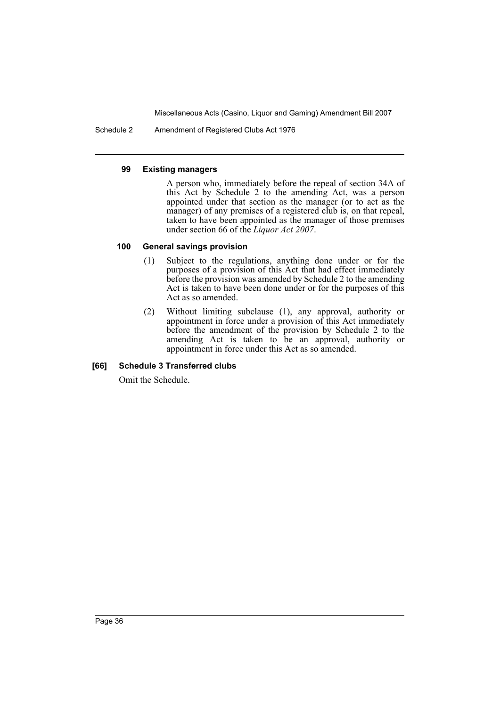Schedule 2 Amendment of Registered Clubs Act 1976

#### **99 Existing managers**

A person who, immediately before the repeal of section 34A of this Act by Schedule 2 to the amending Act, was a person appointed under that section as the manager (or to act as the manager) of any premises of a registered club is, on that repeal, taken to have been appointed as the manager of those premises under section 66 of the *Liquor Act 2007*.

## **100 General savings provision**

- (1) Subject to the regulations, anything done under or for the purposes of a provision of this Act that had effect immediately before the provision was amended by Schedule 2 to the amending Act is taken to have been done under or for the purposes of this Act as so amended.
- (2) Without limiting subclause (1), any approval, authority or appointment in force under a provision of this Act immediately before the amendment of the provision by Schedule 2 to the amending Act is taken to be an approval, authority or appointment in force under this Act as so amended.

## **[66] Schedule 3 Transferred clubs**

Omit the Schedule.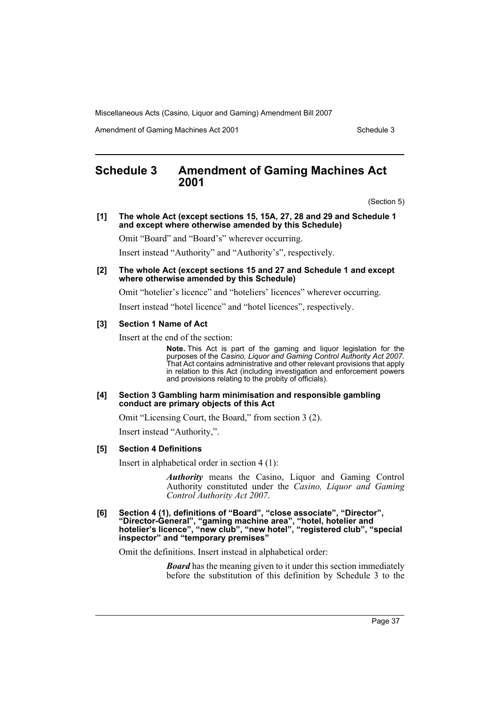Amendment of Gaming Machines Act 2001 Schedule 3

# **Schedule 3 Amendment of Gaming Machines Act 2001**

(Section 5)

**[1] The whole Act (except sections 15, 15A, 27, 28 and 29 and Schedule 1 and except where otherwise amended by this Schedule)**

Omit "Board" and "Board's" wherever occurring.

Insert instead "Authority" and "Authority's", respectively.

**[2] The whole Act (except sections 15 and 27 and Schedule 1 and except where otherwise amended by this Schedule)**

Omit "hotelier's licence" and "hoteliers' licences" wherever occurring.

Insert instead "hotel licence" and "hotel licences", respectively.

#### **[3] Section 1 Name of Act**

Insert at the end of the section:

**Note.** This Act is part of the gaming and liquor legislation for the purposes of the *Casino, Liquor and Gaming Control Authority Act 2007*. That Act contains administrative and other relevant provisions that apply in relation to this Act (including investigation and enforcement powers and provisions relating to the probity of officials).

#### **[4] Section 3 Gambling harm minimisation and responsible gambling conduct are primary objects of this Act**

Omit "Licensing Court, the Board," from section 3 (2).

Insert instead "Authority,".

#### **[5] Section 4 Definitions**

Insert in alphabetical order in section 4 (1):

*Authority* means the Casino, Liquor and Gaming Control Authority constituted under the *Casino, Liquor and Gaming Control Authority Act 2007*.

**[6] Section 4 (1), definitions of "Board", "close associate", "Director", "Director-General", "gaming machine area", "hotel, hotelier and hotelier's licence", "new club", "new hotel", "registered club", "special inspector" and "temporary premises"**

Omit the definitions. Insert instead in alphabetical order:

*Board* has the meaning given to it under this section immediately before the substitution of this definition by Schedule 3 to the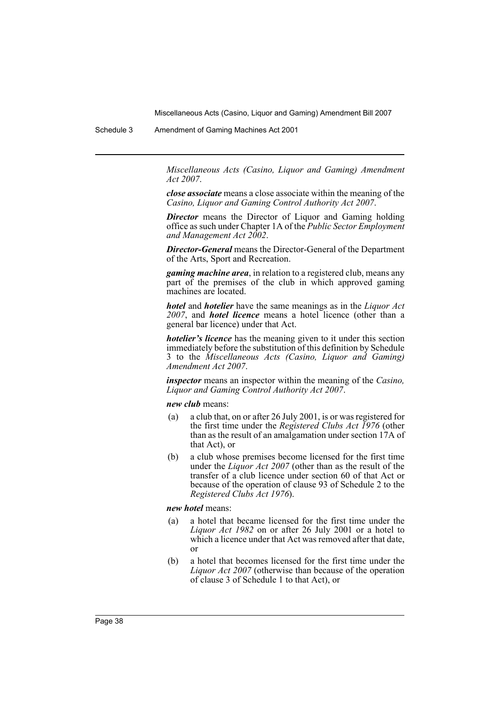Schedule 3 Amendment of Gaming Machines Act 2001

*Miscellaneous Acts (Casino, Liquor and Gaming) Amendment Act 2007*.

*close associate* means a close associate within the meaning of the *Casino, Liquor and Gaming Control Authority Act 2007*.

*Director* means the Director of Liquor and Gaming holding office as such under Chapter 1A of the *Public Sector Employment and Management Act 2002*.

*Director-General* means the Director-General of the Department of the Arts, Sport and Recreation.

*gaming machine area*, in relation to a registered club, means any part of the premises of the club in which approved gaming machines are located.

*hotel* and *hotelier* have the same meanings as in the *Liquor Act 2007*, and *hotel licence* means a hotel licence (other than a general bar licence) under that Act.

*hotelier's licence* has the meaning given to it under this section immediately before the substitution of this definition by Schedule 3 to the *Miscellaneous Acts (Casino, Liquor and Gaming) Amendment Act 2007*.

*inspector* means an inspector within the meaning of the *Casino, Liquor and Gaming Control Authority Act 2007*.

*new club* means:

- (a) a club that, on or after 26 July 2001, is or was registered for the first time under the *Registered Clubs Act 1976* (other than as the result of an amalgamation under section 17A of that Act), or
- (b) a club whose premises become licensed for the first time under the *Liquor Act 2007* (other than as the result of the transfer of a club licence under section 60 of that Act or because of the operation of clause 93 of Schedule 2 to the *Registered Clubs Act 1976*).

*new hotel* means:

- (a) a hotel that became licensed for the first time under the *Liquor Act 1982* on or after 26 July 2001 or a hotel to which a licence under that Act was removed after that date, or
- (b) a hotel that becomes licensed for the first time under the *Liquor Act 2007* (otherwise than because of the operation of clause 3 of Schedule 1 to that Act), or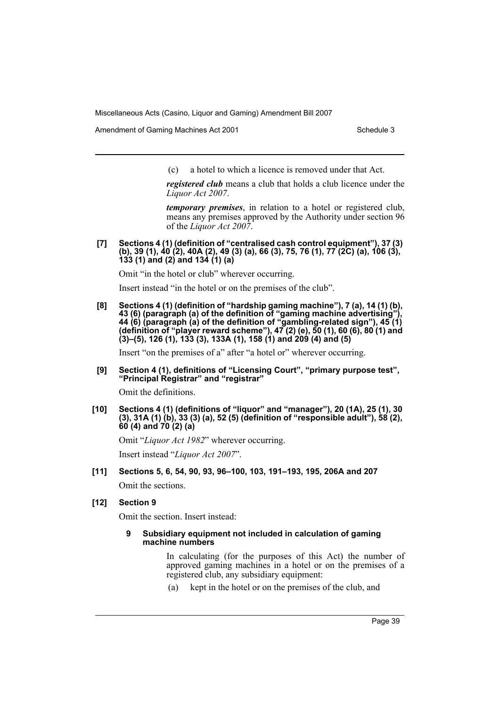Amendment of Gaming Machines Act 2001 Schedule 3

(c) a hotel to which a licence is removed under that Act.

*registered club* means a club that holds a club licence under the *Liquor Act 2007*.

*temporary premises*, in relation to a hotel or registered club, means any premises approved by the Authority under section 96 of the *Liquor Act 2007*.

**[7] Sections 4 (1) (definition of "centralised cash control equipment"), 37 (3) (b), 39 (1), 40 (2), 40A (2), 49 (3) (a), 66 (3), 75, 76 (1), 77 (2C) (a), 106 (3), 133 (1) and (2) and 134 (1) (a)** 

Omit "in the hotel or club" wherever occurring.

Insert instead "in the hotel or on the premises of the club".

**[8] Sections 4 (1) (definition of "hardship gaming machine"), 7 (a), 14 (1) (b), 43 (6) (paragraph (a) of the definition of "gaming machine advertising"), 44 (6) (paragraph (a) of the definition of "gambling-related sign"), 45 (1) (definition of "player reward scheme"), 47 (2) (e), 50 (1), 60 (6), 80 (1) and (3)–(5), 126 (1), 133 (3), 133A (1), 158 (1) and 209 (4) and (5)**

Insert "on the premises of a" after "a hotel or" wherever occurring.

**[9] Section 4 (1), definitions of "Licensing Court", "primary purpose test", "Principal Registrar" and "registrar"**

Omit the definitions.

**[10] Sections 4 (1) (definitions of "liquor" and "manager"), 20 (1A), 25 (1), 30 (3), 31A (1) (b), 33 (3) (a), 52 (5) (definition of "responsible adult"), 58 (2), 60 (4) and 70 (2) (a)**

Omit "*Liquor Act 1982*" wherever occurring.

Insert instead "*Liquor Act 2007*".

**[11] Sections 5, 6, 54, 90, 93, 96–100, 103, 191–193, 195, 206A and 207** Omit the sections.

#### **[12] Section 9**

Omit the section. Insert instead:

#### **9 Subsidiary equipment not included in calculation of gaming machine numbers**

In calculating (for the purposes of this Act) the number of approved gaming machines in a hotel or on the premises of a registered club, any subsidiary equipment:

(a) kept in the hotel or on the premises of the club, and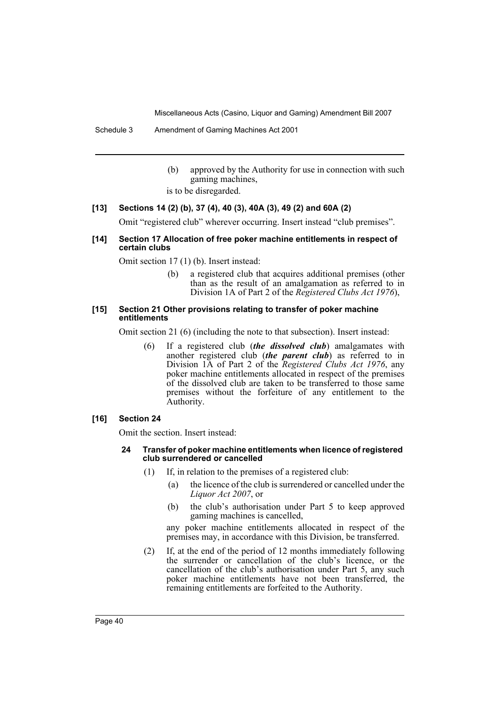Schedule 3 Amendment of Gaming Machines Act 2001

- (b) approved by the Authority for use in connection with such gaming machines,
- is to be disregarded.

#### **[13] Sections 14 (2) (b), 37 (4), 40 (3), 40A (3), 49 (2) and 60A (2)**

Omit "registered club" wherever occurring. Insert instead "club premises".

### **[14] Section 17 Allocation of free poker machine entitlements in respect of certain clubs**

Omit section 17 (1) (b). Insert instead:

(b) a registered club that acquires additional premises (other than as the result of an amalgamation as referred to in Division 1A of Part 2 of the *Registered Clubs Act 1976*),

#### **[15] Section 21 Other provisions relating to transfer of poker machine entitlements**

Omit section 21 (6) (including the note to that subsection). Insert instead:

(6) If a registered club (*the dissolved club*) amalgamates with another registered club (*the parent club*) as referred to in Division 1A of Part 2 of the *Registered Clubs Act 1976*, any poker machine entitlements allocated in respect of the premises of the dissolved club are taken to be transferred to those same premises without the forfeiture of any entitlement to the Authority.

## **[16] Section 24**

Omit the section. Insert instead:

#### **24 Transfer of poker machine entitlements when licence of registered club surrendered or cancelled**

- (1) If, in relation to the premises of a registered club:
	- (a) the licence of the club is surrendered or cancelled under the *Liquor Act 2007*, or
	- (b) the club's authorisation under Part 5 to keep approved gaming machines is cancelled,

any poker machine entitlements allocated in respect of the premises may, in accordance with this Division, be transferred.

(2) If, at the end of the period of 12 months immediately following the surrender or cancellation of the club's licence, or the cancellation of the club's authorisation under Part 5, any such poker machine entitlements have not been transferred, the remaining entitlements are forfeited to the Authority.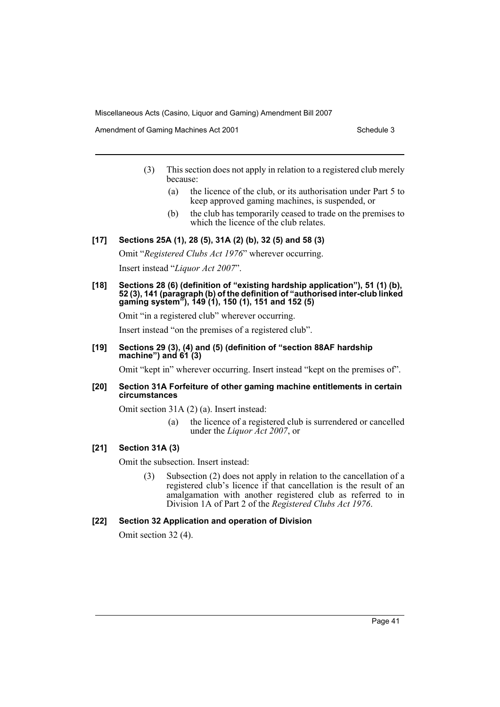Amendment of Gaming Machines Act 2001 Schedule 3

- (3) This section does not apply in relation to a registered club merely because:
	- (a) the licence of the club, or its authorisation under Part 5 to keep approved gaming machines, is suspended, or
	- (b) the club has temporarily ceased to trade on the premises to which the licence of the club relates.

## **[17] Sections 25A (1), 28 (5), 31A (2) (b), 32 (5) and 58 (3)**

Omit "*Registered Clubs Act 1976*" wherever occurring.

Insert instead "*Liquor Act 2007*".

**[18] Sections 28 (6) (definition of "existing hardship application"), 51 (1) (b), 52 (3), 141 (paragraph (b) of the definition of "authorised inter-club linked gaming system"), 149 (1), 150 (1), 151 and 152 (5)**

Omit "in a registered club" wherever occurring.

Insert instead "on the premises of a registered club".

#### **[19] Sections 29 (3), (4) and (5) (definition of "section 88AF hardship machine") and 61 (3)**

Omit "kept in" wherever occurring. Insert instead "kept on the premises of".

#### **[20] Section 31A Forfeiture of other gaming machine entitlements in certain circumstances**

Omit section 31A (2) (a). Insert instead:

(a) the licence of a registered club is surrendered or cancelled under the *Liquor Act 2007*, or

## **[21] Section 31A (3)**

Omit the subsection. Insert instead:

(3) Subsection (2) does not apply in relation to the cancellation of a registered club's licence if that cancellation is the result of an amalgamation with another registered club as referred to in Division 1A of Part 2 of the *Registered Clubs Act 1976*.

#### **[22] Section 32 Application and operation of Division**

Omit section 32 (4).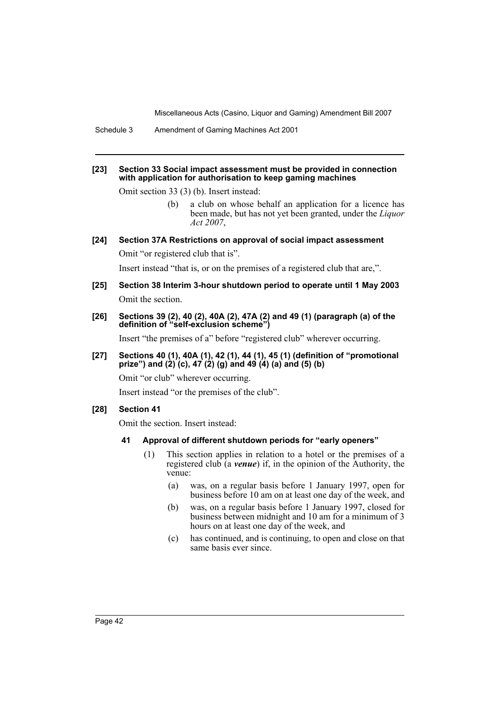Schedule 3 Amendment of Gaming Machines Act 2001

#### **[23] Section 33 Social impact assessment must be provided in connection with application for authorisation to keep gaming machines**

Omit section 33 (3) (b). Insert instead:

(b) a club on whose behalf an application for a licence has been made, but has not yet been granted, under the *Liquor Act 2007*,

**[24] Section 37A Restrictions on approval of social impact assessment**

Omit "or registered club that is".

Insert instead "that is, or on the premises of a registered club that are,".

- **[25] Section 38 Interim 3-hour shutdown period to operate until 1 May 2003** Omit the section.
- **[26] Sections 39 (2), 40 (2), 40A (2), 47A (2) and 49 (1) (paragraph (a) of the definition of "self-exclusion scheme")**

Insert "the premises of a" before "registered club" wherever occurring.

**[27] Sections 40 (1), 40A (1), 42 (1), 44 (1), 45 (1) (definition of "promotional prize") and (2) (c), 47 (2) (g) and 49 (4) (a) and (5) (b)**

Omit "or club" wherever occurring.

Insert instead "or the premises of the club".

#### **[28] Section 41**

Omit the section. Insert instead:

- **41 Approval of different shutdown periods for "early openers"**
	- (1) This section applies in relation to a hotel or the premises of a registered club (a *venue*) if, in the opinion of the Authority, the venue:
		- (a) was, on a regular basis before 1 January 1997, open for business before 10 am on at least one day of the week, and
		- (b) was, on a regular basis before 1 January 1997, closed for business between midnight and 10 am for a minimum of 3 hours on at least one day of the week, and
		- (c) has continued, and is continuing, to open and close on that same basis ever since.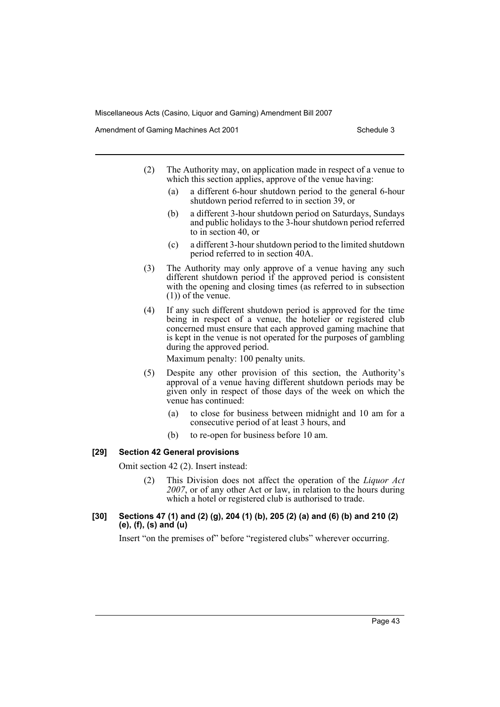Amendment of Gaming Machines Act 2001 Schedule 3

- (2) The Authority may, on application made in respect of a venue to which this section applies, approve of the venue having:
	- (a) a different 6-hour shutdown period to the general 6-hour shutdown period referred to in section 39, or
	- (b) a different 3-hour shutdown period on Saturdays, Sundays and public holidays to the 3-hour shutdown period referred to in section 40, or
	- (c) a different 3-hour shutdown period to the limited shutdown period referred to in section 40A.
- (3) The Authority may only approve of a venue having any such different shutdown period if the approved period is consistent with the opening and closing times (as referred to in subsection (1)) of the venue.
- (4) If any such different shutdown period is approved for the time being in respect of a venue, the hotelier or registered club concerned must ensure that each approved gaming machine that is kept in the venue is not operated for the purposes of gambling during the approved period.

Maximum penalty: 100 penalty units.

- (5) Despite any other provision of this section, the Authority's approval of a venue having different shutdown periods may be given only in respect of those days of the week on which the venue has continued:
	- (a) to close for business between midnight and 10 am for a consecutive period of at least 3 hours, and
	- (b) to re-open for business before 10 am.

#### **[29] Section 42 General provisions**

Omit section 42 (2). Insert instead:

- (2) This Division does not affect the operation of the *Liquor Act 2007*, or of any other Act or law, in relation to the hours during which a hotel or registered club is authorised to trade.
- **[30] Sections 47 (1) and (2) (g), 204 (1) (b), 205 (2) (a) and (6) (b) and 210 (2) (e), (f), (s) and (u)**

Insert "on the premises of" before "registered clubs" wherever occurring.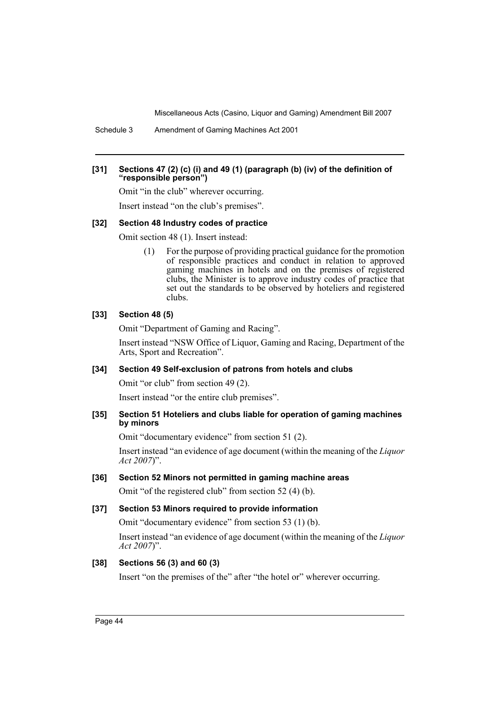Schedule 3 Amendment of Gaming Machines Act 2001

## **[31] Sections 47 (2) (c) (i) and 49 (1) (paragraph (b) (iv) of the definition of "responsible person")**

Omit "in the club" wherever occurring.

Insert instead "on the club's premises".

#### **[32] Section 48 Industry codes of practice**

Omit section 48 (1). Insert instead:

(1) For the purpose of providing practical guidance for the promotion of responsible practices and conduct in relation to approved gaming machines in hotels and on the premises of registered clubs, the Minister is to approve industry codes of practice that set out the standards to be observed by hoteliers and registered clubs.

## **[33] Section 48 (5)**

Omit "Department of Gaming and Racing".

Insert instead "NSW Office of Liquor, Gaming and Racing, Department of the Arts, Sport and Recreation".

#### **[34] Section 49 Self-exclusion of patrons from hotels and clubs**

Omit "or club" from section 49 (2).

Insert instead "or the entire club premises".

## **[35] Section 51 Hoteliers and clubs liable for operation of gaming machines by minors**

Omit "documentary evidence" from section 51 (2).

Insert instead "an evidence of age document (within the meaning of the *Liquor Act 2007*)".

#### **[36] Section 52 Minors not permitted in gaming machine areas**

Omit "of the registered club" from section 52 (4) (b).

#### **[37] Section 53 Minors required to provide information**

Omit "documentary evidence" from section 53 (1) (b).

Insert instead "an evidence of age document (within the meaning of the *Liquor Act 2007*)".

## **[38] Sections 56 (3) and 60 (3)**

Insert "on the premises of the" after "the hotel or" wherever occurring.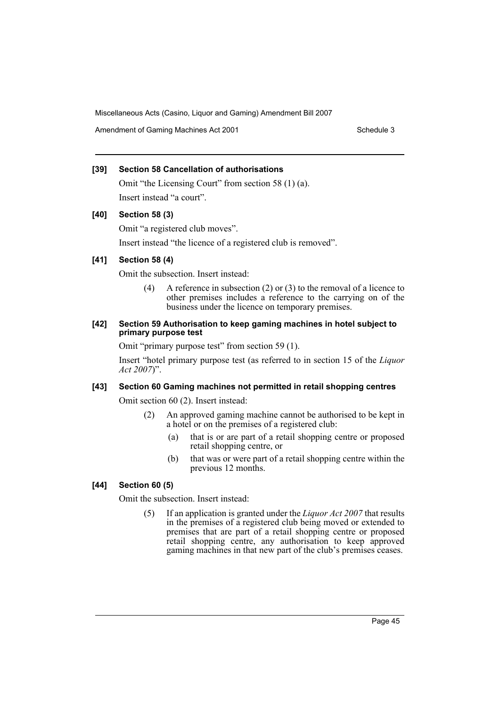Amendment of Gaming Machines Act 2001 Schedule 3

## **[39] Section 58 Cancellation of authorisations**

Omit "the Licensing Court" from section 58 (1) (a). Insert instead "a court".

# **[40] Section 58 (3)**

Omit "a registered club moves".

Insert instead "the licence of a registered club is removed".

# **[41] Section 58 (4)**

Omit the subsection. Insert instead:

(4) A reference in subsection (2) or (3) to the removal of a licence to other premises includes a reference to the carrying on of the business under the licence on temporary premises.

## **[42] Section 59 Authorisation to keep gaming machines in hotel subject to primary purpose test**

Omit "primary purpose test" from section 59 (1).

Insert "hotel primary purpose test (as referred to in section 15 of the *Liquor Act 2007*)".

# **[43] Section 60 Gaming machines not permitted in retail shopping centres**

Omit section 60 (2). Insert instead:

- (2) An approved gaming machine cannot be authorised to be kept in a hotel or on the premises of a registered club:
	- (a) that is or are part of a retail shopping centre or proposed retail shopping centre, or
	- (b) that was or were part of a retail shopping centre within the previous 12 months.

# **[44] Section 60 (5)**

Omit the subsection. Insert instead:

(5) If an application is granted under the *Liquor Act 2007* that results in the premises of a registered club being moved or extended to premises that are part of a retail shopping centre or proposed retail shopping centre, any authorisation to keep approved gaming machines in that new part of the club's premises ceases.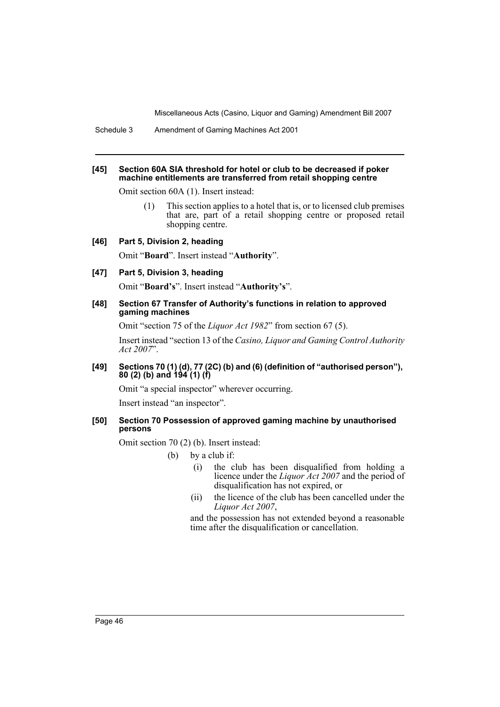#### **[45] Section 60A SIA threshold for hotel or club to be decreased if poker machine entitlements are transferred from retail shopping centre**

Omit section 60A (1). Insert instead:

(1) This section applies to a hotel that is, or to licensed club premises that are, part of a retail shopping centre or proposed retail shopping centre.

#### **[46] Part 5, Division 2, heading**

Omit "**Board**". Insert instead "**Authority**".

#### **[47] Part 5, Division 3, heading**

Omit "**Board's**". Insert instead "**Authority's**".

#### **[48] Section 67 Transfer of Authority's functions in relation to approved gaming machines**

Omit "section 75 of the *Liquor Act 1982*" from section 67 (5).

Insert instead "section 13 of the *Casino, Liquor and Gaming Control Authority Act 2007*".

#### **[49] Sections 70 (1) (d), 77 (2C) (b) and (6) (definition of "authorised person"), 80 (2) (b) and 194 (1) (f)**

Omit "a special inspector" wherever occurring.

Insert instead "an inspector".

## **[50] Section 70 Possession of approved gaming machine by unauthorised persons**

Omit section 70 (2) (b). Insert instead:

- (b) by a club if:
	- (i) the club has been disqualified from holding a licence under the *Liquor Act 2007* and the period of disqualification has not expired, or
	- (ii) the licence of the club has been cancelled under the *Liquor Act 2007*,

and the possession has not extended beyond a reasonable time after the disqualification or cancellation.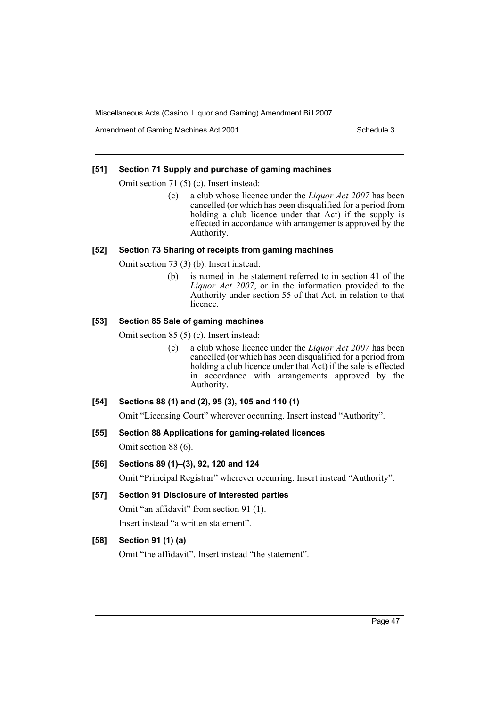Amendment of Gaming Machines Act 2001 Schedule 3

## **[51] Section 71 Supply and purchase of gaming machines**

Omit section 71 (5) (c). Insert instead:

(c) a club whose licence under the *Liquor Act 2007* has been cancelled (or which has been disqualified for a period from holding a club licence under that Act) if the supply is effected in accordance with arrangements approved by the Authority.

## **[52] Section 73 Sharing of receipts from gaming machines**

Omit section 73 (3) (b). Insert instead:

(b) is named in the statement referred to in section 41 of the *Liquor Act 2007*, or in the information provided to the Authority under section 55 of that Act, in relation to that licence.

## **[53] Section 85 Sale of gaming machines**

Omit section 85 (5) (c). Insert instead:

(c) a club whose licence under the *Liquor Act 2007* has been cancelled (or which has been disqualified for a period from holding a club licence under that Act) if the sale is effected in accordance with arrangements approved by the Authority.

## **[54] Sections 88 (1) and (2), 95 (3), 105 and 110 (1)**

Omit "Licensing Court" wherever occurring. Insert instead "Authority".

**[55] Section 88 Applications for gaming-related licences**

Omit section 88 (6).

## **[56] Sections 89 (1)–(3), 92, 120 and 124**

Omit "Principal Registrar" wherever occurring. Insert instead "Authority".

**[57] Section 91 Disclosure of interested parties** Omit "an affidavit" from section 91 (1).

Insert instead "a written statement".

# **[58] Section 91 (1) (a)**

Omit "the affidavit". Insert instead "the statement".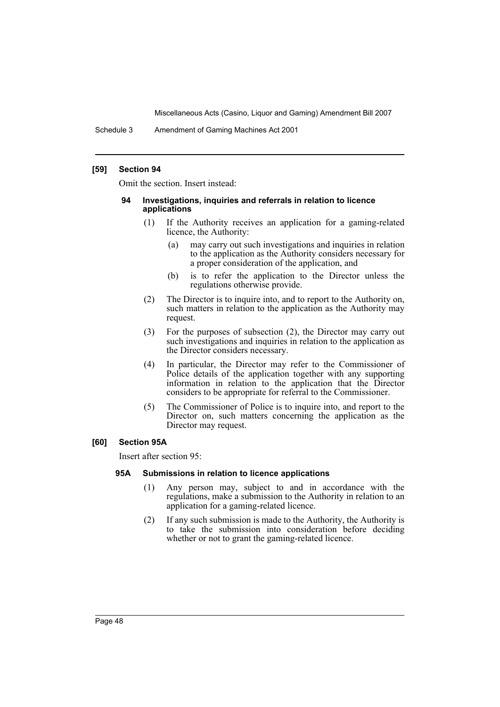Schedule 3 Amendment of Gaming Machines Act 2001

### **[59] Section 94**

Omit the section. Insert instead:

#### **94 Investigations, inquiries and referrals in relation to licence applications**

- (1) If the Authority receives an application for a gaming-related licence, the Authority:
	- (a) may carry out such investigations and inquiries in relation to the application as the Authority considers necessary for a proper consideration of the application, and
	- (b) is to refer the application to the Director unless the regulations otherwise provide.
- (2) The Director is to inquire into, and to report to the Authority on, such matters in relation to the application as the Authority may request.
- (3) For the purposes of subsection (2), the Director may carry out such investigations and inquiries in relation to the application as the Director considers necessary.
- (4) In particular, the Director may refer to the Commissioner of Police details of the application together with any supporting information in relation to the application that the Director considers to be appropriate for referral to the Commissioner.
- (5) The Commissioner of Police is to inquire into, and report to the Director on, such matters concerning the application as the Director may request.

## **[60] Section 95A**

Insert after section 95:

#### **95A Submissions in relation to licence applications**

- (1) Any person may, subject to and in accordance with the regulations, make a submission to the Authority in relation to an application for a gaming-related licence.
- (2) If any such submission is made to the Authority, the Authority is to take the submission into consideration before deciding whether or not to grant the gaming-related licence.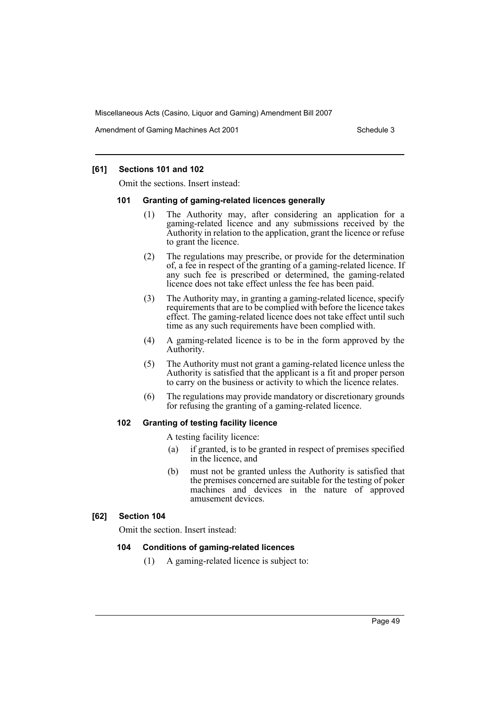Amendment of Gaming Machines Act 2001 Schedule 3

## **[61] Sections 101 and 102**

Omit the sections. Insert instead:

#### **101 Granting of gaming-related licences generally**

- (1) The Authority may, after considering an application for a gaming-related licence and any submissions received by the Authority in relation to the application, grant the licence or refuse to grant the licence.
- (2) The regulations may prescribe, or provide for the determination of, a fee in respect of the granting of a gaming-related licence. If any such fee is prescribed or determined, the gaming-related licence does not take effect unless the fee has been paid.
- (3) The Authority may, in granting a gaming-related licence, specify requirements that are to be complied with before the licence takes effect. The gaming-related licence does not take effect until such time as any such requirements have been complied with.
- (4) A gaming-related licence is to be in the form approved by the Authority.
- (5) The Authority must not grant a gaming-related licence unless the Authority is satisfied that the applicant is a fit and proper person to carry on the business or activity to which the licence relates.
- (6) The regulations may provide mandatory or discretionary grounds for refusing the granting of a gaming-related licence.

#### **102 Granting of testing facility licence**

A testing facility licence:

- (a) if granted, is to be granted in respect of premises specified in the licence, and
- (b) must not be granted unless the Authority is satisfied that the premises concerned are suitable for the testing of poker machines and devices in the nature of approved amusement devices.

#### **[62] Section 104**

Omit the section. Insert instead:

## **104 Conditions of gaming-related licences**

(1) A gaming-related licence is subject to: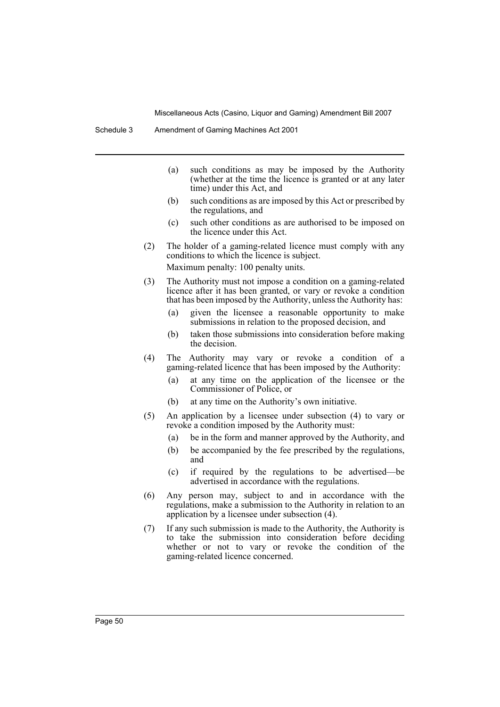- (a) such conditions as may be imposed by the Authority (whether at the time the licence is granted or at any later time) under this Act, and
- (b) such conditions as are imposed by this Act or prescribed by the regulations, and
- (c) such other conditions as are authorised to be imposed on the licence under this Act.
- (2) The holder of a gaming-related licence must comply with any conditions to which the licence is subject. Maximum penalty: 100 penalty units.
- (3) The Authority must not impose a condition on a gaming-related licence after it has been granted, or vary or revoke a condition that has been imposed by the Authority, unless the Authority has:
	- (a) given the licensee a reasonable opportunity to make submissions in relation to the proposed decision, and
	- (b) taken those submissions into consideration before making the decision.
- (4) The Authority may vary or revoke a condition of a gaming-related licence that has been imposed by the Authority:
	- (a) at any time on the application of the licensee or the Commissioner of Police, or
	- (b) at any time on the Authority's own initiative.
- (5) An application by a licensee under subsection (4) to vary or revoke a condition imposed by the Authority must:
	- (a) be in the form and manner approved by the Authority, and
	- (b) be accompanied by the fee prescribed by the regulations, and
	- (c) if required by the regulations to be advertised—be advertised in accordance with the regulations.
- (6) Any person may, subject to and in accordance with the regulations, make a submission to the Authority in relation to an application by a licensee under subsection (4).
- (7) If any such submission is made to the Authority, the Authority is to take the submission into consideration before deciding whether or not to vary or revoke the condition of the gaming-related licence concerned.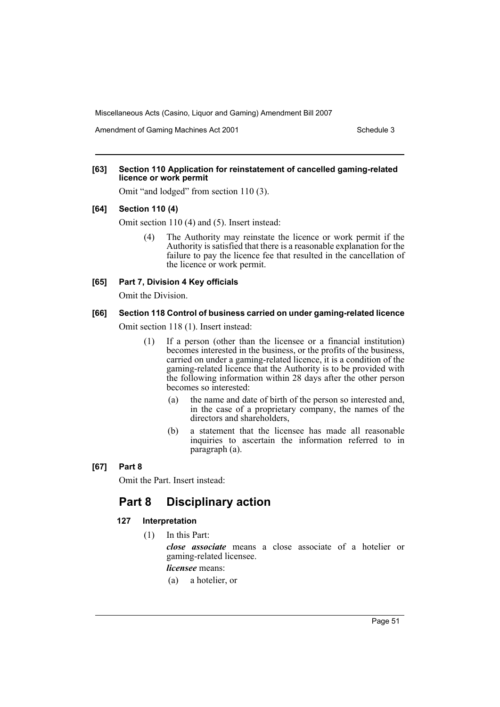Amendment of Gaming Machines Act 2001 Schedule 3

### **[63] Section 110 Application for reinstatement of cancelled gaming-related licence or work permit**

Omit "and lodged" from section 110 (3).

### **[64] Section 110 (4)**

Omit section 110 (4) and (5). Insert instead:

(4) The Authority may reinstate the licence or work permit if the Authority is satisfied that there is a reasonable explanation for the failure to pay the licence fee that resulted in the cancellation of the licence or work permit.

## **[65] Part 7, Division 4 Key officials**

Omit the Division.

#### **[66] Section 118 Control of business carried on under gaming-related licence**

Omit section 118 (1). Insert instead:

- (1) If a person (other than the licensee or a financial institution) becomes interested in the business, or the profits of the business, carried on under a gaming-related licence, it is a condition of the gaming-related licence that the Authority is to be provided with the following information within 28 days after the other person becomes so interested:
	- (a) the name and date of birth of the person so interested and, in the case of a proprietary company, the names of the directors and shareholders,
	- (b) a statement that the licensee has made all reasonable inquiries to ascertain the information referred to in paragraph (a).

#### **[67] Part 8**

Omit the Part. Insert instead:

# **Part 8 Disciplinary action**

#### **127 Interpretation**

(1) In this Part:

*close associate* means a close associate of a hotelier or gaming-related licensee.

*licensee* means:

(a) a hotelier, or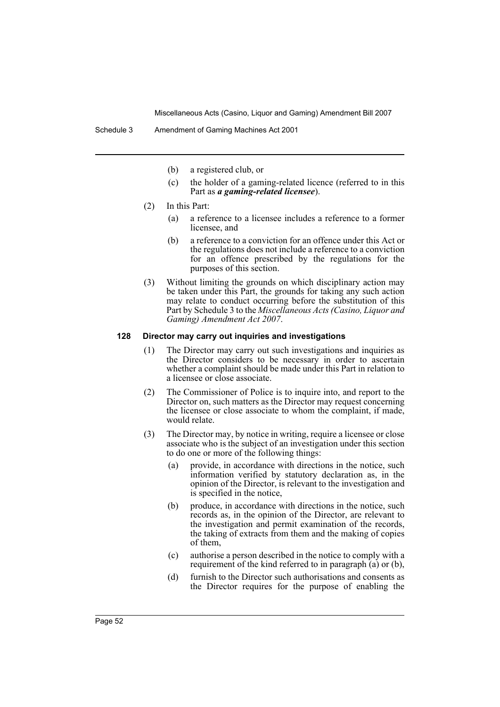- (b) a registered club, or
- (c) the holder of a gaming-related licence (referred to in this Part as *a gaming-related licensee*).
- (2) In this Part:
	- (a) a reference to a licensee includes a reference to a former licensee, and
	- (b) a reference to a conviction for an offence under this Act or the regulations does not include a reference to a conviction for an offence prescribed by the regulations for the purposes of this section.
- (3) Without limiting the grounds on which disciplinary action may be taken under this Part, the grounds for taking any such action may relate to conduct occurring before the substitution of this Part by Schedule 3 to the *Miscellaneous Acts (Casino, Liquor and Gaming) Amendment Act 2007*.

## **128 Director may carry out inquiries and investigations**

- (1) The Director may carry out such investigations and inquiries as the Director considers to be necessary in order to ascertain whether a complaint should be made under this Part in relation to a licensee or close associate.
- (2) The Commissioner of Police is to inquire into, and report to the Director on, such matters as the Director may request concerning the licensee or close associate to whom the complaint, if made, would relate.
- (3) The Director may, by notice in writing, require a licensee or close associate who is the subject of an investigation under this section to do one or more of the following things:
	- (a) provide, in accordance with directions in the notice, such information verified by statutory declaration as, in the opinion of the Director, is relevant to the investigation and is specified in the notice,
	- (b) produce, in accordance with directions in the notice, such records as, in the opinion of the Director, are relevant to the investigation and permit examination of the records, the taking of extracts from them and the making of copies of them,
	- (c) authorise a person described in the notice to comply with a requirement of the kind referred to in paragraph (a) or (b),
	- (d) furnish to the Director such authorisations and consents as the Director requires for the purpose of enabling the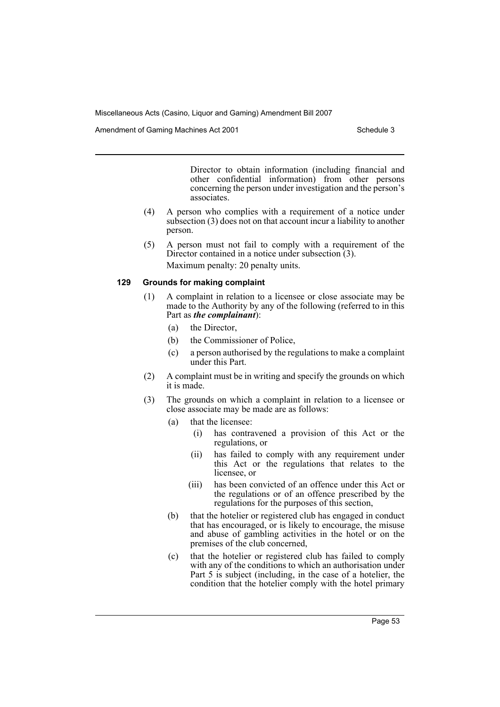Amendment of Gaming Machines Act 2001 Schedule 3

Director to obtain information (including financial and other confidential information) from other persons concerning the person under investigation and the person's associates.

- (4) A person who complies with a requirement of a notice under subsection (3) does not on that account incur a liability to another person.
- (5) A person must not fail to comply with a requirement of the Director contained in a notice under subsection (3). Maximum penalty: 20 penalty units.

## **129 Grounds for making complaint**

- (1) A complaint in relation to a licensee or close associate may be made to the Authority by any of the following (referred to in this Part as *the complainant*):
	- (a) the Director,
	- (b) the Commissioner of Police,
	- (c) a person authorised by the regulations to make a complaint under this Part.
- (2) A complaint must be in writing and specify the grounds on which it is made.
- (3) The grounds on which a complaint in relation to a licensee or close associate may be made are as follows:
	- (a) that the licensee:
		- (i) has contravened a provision of this Act or the regulations, or
		- (ii) has failed to comply with any requirement under this Act or the regulations that relates to the licensee, or
		- (iii) has been convicted of an offence under this Act or the regulations or of an offence prescribed by the regulations for the purposes of this section,
	- (b) that the hotelier or registered club has engaged in conduct that has encouraged, or is likely to encourage, the misuse and abuse of gambling activities in the hotel or on the premises of the club concerned,
	- (c) that the hotelier or registered club has failed to comply with any of the conditions to which an authorisation under Part 5 is subject (including, in the case of a hotelier, the condition that the hotelier comply with the hotel primary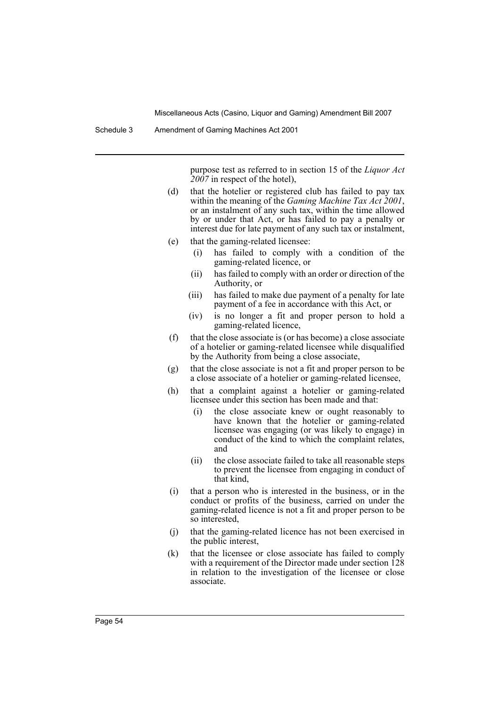purpose test as referred to in section 15 of the *Liquor Act 2007* in respect of the hotel),

- (d) that the hotelier or registered club has failed to pay tax within the meaning of the *Gaming Machine Tax Act 2001*, or an instalment of any such tax, within the time allowed by or under that Act, or has failed to pay a penalty or interest due for late payment of any such tax or instalment,
- (e) that the gaming-related licensee:
	- (i) has failed to comply with a condition of the gaming-related licence, or
	- (ii) has failed to comply with an order or direction of the Authority, or
	- (iii) has failed to make due payment of a penalty for late payment of a fee in accordance with this Act, or
	- (iv) is no longer a fit and proper person to hold a gaming-related licence,
- (f) that the close associate is (or has become) a close associate of a hotelier or gaming-related licensee while disqualified by the Authority from being a close associate,
- (g) that the close associate is not a fit and proper person to be a close associate of a hotelier or gaming-related licensee,
- (h) that a complaint against a hotelier or gaming-related licensee under this section has been made and that:
	- (i) the close associate knew or ought reasonably to have known that the hotelier or gaming-related licensee was engaging (or was likely to engage) in conduct of the kind to which the complaint relates, and
	- (ii) the close associate failed to take all reasonable steps to prevent the licensee from engaging in conduct of that kind,
- (i) that a person who is interested in the business, or in the conduct or profits of the business, carried on under the gaming-related licence is not a fit and proper person to be so interested,
- (j) that the gaming-related licence has not been exercised in the public interest,
- (k) that the licensee or close associate has failed to comply with a requirement of the Director made under section 128 in relation to the investigation of the licensee or close associate.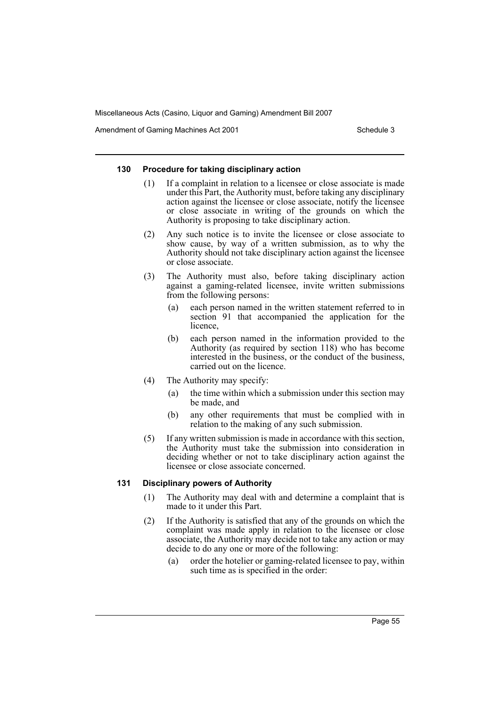Amendment of Gaming Machines Act 2001 Schedule 3

#### **130 Procedure for taking disciplinary action**

- (1) If a complaint in relation to a licensee or close associate is made under this Part, the Authority must, before taking any disciplinary action against the licensee or close associate, notify the licensee or close associate in writing of the grounds on which the Authority is proposing to take disciplinary action.
- (2) Any such notice is to invite the licensee or close associate to show cause, by way of a written submission, as to why the Authority should not take disciplinary action against the licensee or close associate.
- (3) The Authority must also, before taking disciplinary action against a gaming-related licensee, invite written submissions from the following persons:
	- (a) each person named in the written statement referred to in section 91 that accompanied the application for the licence,
	- (b) each person named in the information provided to the Authority (as required by section 118) who has become interested in the business, or the conduct of the business, carried out on the licence.
- (4) The Authority may specify:
	- (a) the time within which a submission under this section may be made, and
	- (b) any other requirements that must be complied with in relation to the making of any such submission.
- (5) If any written submission is made in accordance with this section, the Authority must take the submission into consideration in deciding whether or not to take disciplinary action against the licensee or close associate concerned.

#### **131 Disciplinary powers of Authority**

- (1) The Authority may deal with and determine a complaint that is made to it under this Part.
- (2) If the Authority is satisfied that any of the grounds on which the complaint was made apply in relation to the licensee or close associate, the Authority may decide not to take any action or may decide to do any one or more of the following:
	- (a) order the hotelier or gaming-related licensee to pay, within such time as is specified in the order: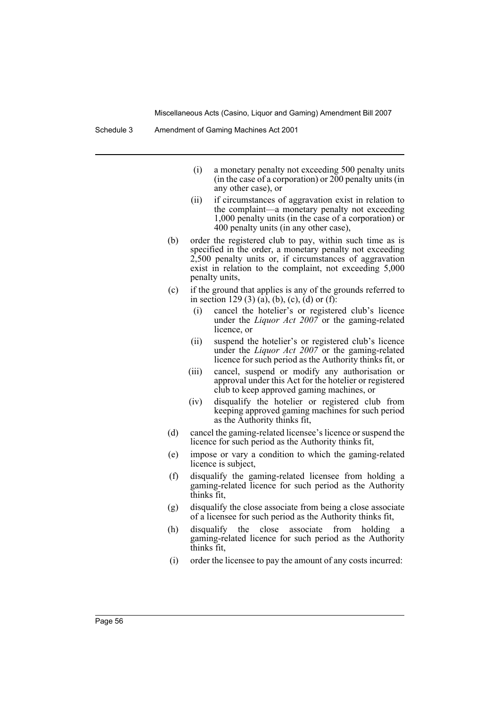Schedule 3 Amendment of Gaming Machines Act 2001

- (i) a monetary penalty not exceeding 500 penalty units (in the case of a corporation) or  $200$  penalty units (in any other case), or
- (ii) if circumstances of aggravation exist in relation to the complaint—a monetary penalty not exceeding 1,000 penalty units (in the case of a corporation) or 400 penalty units (in any other case),
- (b) order the registered club to pay, within such time as is specified in the order, a monetary penalty not exceeding 2,500 penalty units or, if circumstances of aggravation exist in relation to the complaint, not exceeding 5,000 penalty units,
- (c) if the ground that applies is any of the grounds referred to in section 129 (3) (a), (b), (c), (d) or (f):
	- (i) cancel the hotelier's or registered club's licence under the *Liquor Act 2007* or the gaming-related licence, or
	- (ii) suspend the hotelier's or registered club's licence under the *Liquor Act 2007* or the gaming-related licence for such period as the Authority thinks fit, or
	- (iii) cancel, suspend or modify any authorisation or approval under this Act for the hotelier or registered club to keep approved gaming machines, or
	- (iv) disqualify the hotelier or registered club from keeping approved gaming machines for such period as the Authority thinks fit,
- (d) cancel the gaming-related licensee's licence or suspend the licence for such period as the Authority thinks fit,
- (e) impose or vary a condition to which the gaming-related licence is subject,
- (f) disqualify the gaming-related licensee from holding a gaming-related licence for such period as the Authority thinks fit,
- (g) disqualify the close associate from being a close associate of a licensee for such period as the Authority thinks fit,
- (h) disqualify the close associate from holding a gaming-related licence for such period as the Authority thinks fit,
- (i) order the licensee to pay the amount of any costs incurred: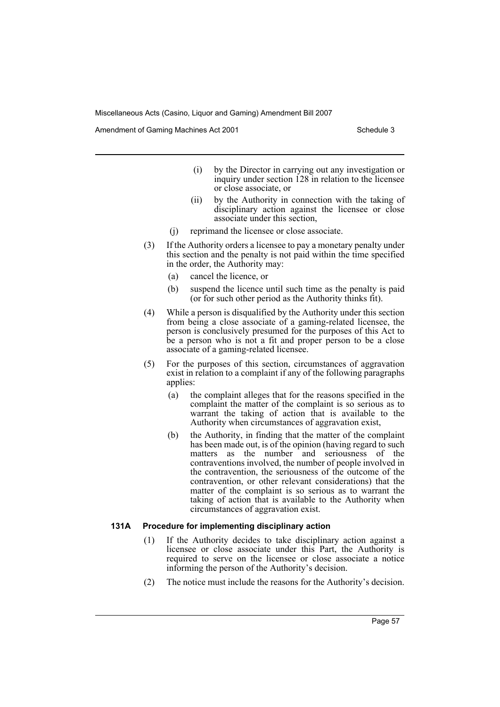Amendment of Gaming Machines Act 2001 Schedule 3

- (i) by the Director in carrying out any investigation or inquiry under section 128 in relation to the licensee or close associate, or
- (ii) by the Authority in connection with the taking of disciplinary action against the licensee or close associate under this section,
- (j) reprimand the licensee or close associate.
- (3) If the Authority orders a licensee to pay a monetary penalty under this section and the penalty is not paid within the time specified in the order, the Authority may:
	- (a) cancel the licence, or
	- (b) suspend the licence until such time as the penalty is paid (or for such other period as the Authority thinks fit).
- (4) While a person is disqualified by the Authority under this section from being a close associate of a gaming-related licensee, the person is conclusively presumed for the purposes of this Act to be a person who is not a fit and proper person to be a close associate of a gaming-related licensee.
- (5) For the purposes of this section, circumstances of aggravation exist in relation to a complaint if any of the following paragraphs applies:
	- (a) the complaint alleges that for the reasons specified in the complaint the matter of the complaint is so serious as to warrant the taking of action that is available to the Authority when circumstances of aggravation exist,
	- (b) the Authority, in finding that the matter of the complaint has been made out, is of the opinion (having regard to such matters as the number and seriousness of the contraventions involved, the number of people involved in the contravention, the seriousness of the outcome of the contravention, or other relevant considerations) that the matter of the complaint is so serious as to warrant the taking of action that is available to the Authority when circumstances of aggravation exist.

#### **131A Procedure for implementing disciplinary action**

- (1) If the Authority decides to take disciplinary action against a licensee or close associate under this Part, the Authority is required to serve on the licensee or close associate a notice informing the person of the Authority's decision.
- (2) The notice must include the reasons for the Authority's decision.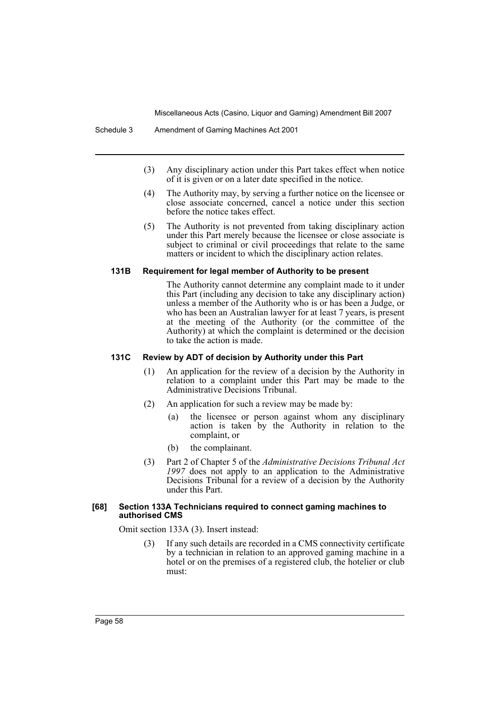- (3) Any disciplinary action under this Part takes effect when notice of it is given or on a later date specified in the notice.
- (4) The Authority may, by serving a further notice on the licensee or close associate concerned, cancel a notice under this section before the notice takes effect.
- (5) The Authority is not prevented from taking disciplinary action under this Part merely because the licensee or close associate is subject to criminal or civil proceedings that relate to the same matters or incident to which the disciplinary action relates.

#### **131B Requirement for legal member of Authority to be present**

The Authority cannot determine any complaint made to it under this Part (including any decision to take any disciplinary action) unless a member of the Authority who is or has been a Judge, or who has been an Australian lawyer for at least 7 years, is present at the meeting of the Authority (or the committee of the Authority) at which the complaint is determined or the decision to take the action is made.

### **131C Review by ADT of decision by Authority under this Part**

- (1) An application for the review of a decision by the Authority in relation to a complaint under this Part may be made to the Administrative Decisions Tribunal.
- (2) An application for such a review may be made by:
	- (a) the licensee or person against whom any disciplinary action is taken by the Authority in relation to the complaint, or
	- (b) the complainant.
- (3) Part 2 of Chapter 5 of the *Administrative Decisions Tribunal Act 1997* does not apply to an application to the Administrative Decisions Tribunal for a review of a decision by the Authority under this Part.

#### **[68] Section 133A Technicians required to connect gaming machines to authorised CMS**

Omit section 133A (3). Insert instead:

(3) If any such details are recorded in a CMS connectivity certificate by a technician in relation to an approved gaming machine in a hotel or on the premises of a registered club, the hotelier or club must: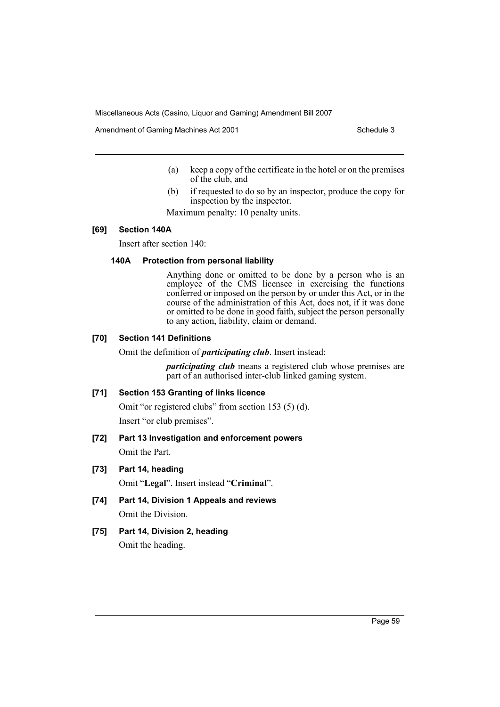Amendment of Gaming Machines Act 2001 Schedule 3

- (a) keep a copy of the certificate in the hotel or on the premises of the club, and
- (b) if requested to do so by an inspector, produce the copy for inspection by the inspector.

Maximum penalty: 10 penalty units.

## **[69] Section 140A**

Insert after section 140:

#### **140A Protection from personal liability**

Anything done or omitted to be done by a person who is an employee of the CMS licensee in exercising the functions conferred or imposed on the person by or under this Act, or in the course of the administration of this Act, does not, if it was done or omitted to be done in good faith, subject the person personally to any action, liability, claim or demand.

## **[70] Section 141 Definitions**

Omit the definition of *participating club*. Insert instead:

*participating club* means a registered club whose premises are part of an authorised inter-club linked gaming system.

## **[71] Section 153 Granting of links licence**

Omit "or registered clubs" from section 153 (5) (d). Insert "or club premises".

**[72] Part 13 Investigation and enforcement powers**

Omit the Part.

#### **[73] Part 14, heading**

Omit "**Legal**". Insert instead "**Criminal**".

**[74] Part 14, Division 1 Appeals and reviews** Omit the Division.

## **[75] Part 14, Division 2, heading**

Omit the heading.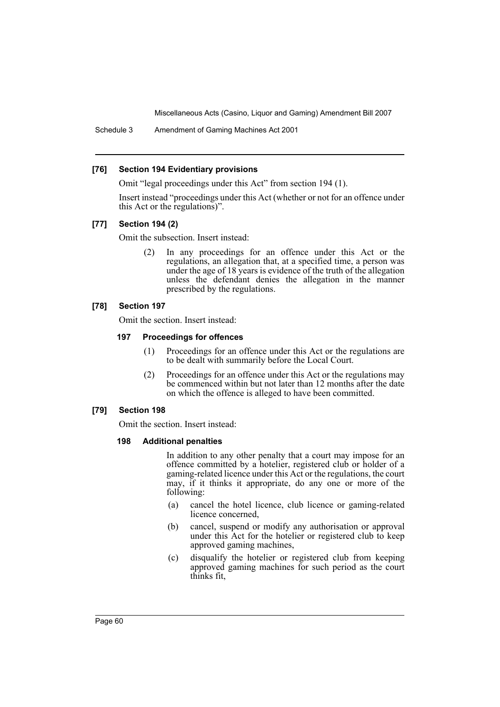Schedule 3 Amendment of Gaming Machines Act 2001

### **[76] Section 194 Evidentiary provisions**

Omit "legal proceedings under this Act" from section 194 (1).

Insert instead "proceedings under this Act (whether or not for an offence under this Act or the regulations)".

## **[77] Section 194 (2)**

Omit the subsection. Insert instead:

(2) In any proceedings for an offence under this Act or the regulations, an allegation that, at a specified time, a person was under the age of 18 years is evidence of the truth of the allegation unless the defendant denies the allegation in the manner prescribed by the regulations.

## **[78] Section 197**

Omit the section. Insert instead:

## **197 Proceedings for offences**

- (1) Proceedings for an offence under this Act or the regulations are to be dealt with summarily before the Local Court.
- (2) Proceedings for an offence under this Act or the regulations may be commenced within but not later than 12 months after the date on which the offence is alleged to have been committed.

## **[79] Section 198**

Omit the section. Insert instead:

#### **198 Additional penalties**

In addition to any other penalty that a court may impose for an offence committed by a hotelier, registered club or holder of a gaming-related licence under this Act or the regulations, the court may, if it thinks it appropriate, do any one or more of the following:

- (a) cancel the hotel licence, club licence or gaming-related licence concerned,
- (b) cancel, suspend or modify any authorisation or approval under this Act for the hotelier or registered club to keep approved gaming machines,
- (c) disqualify the hotelier or registered club from keeping approved gaming machines for such period as the court thinks fit,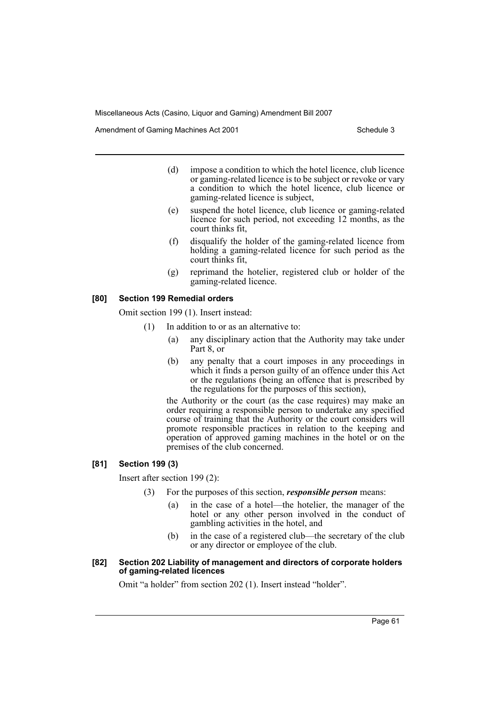Amendment of Gaming Machines Act 2001 Schedule 3

- (d) impose a condition to which the hotel licence, club licence or gaming-related licence is to be subject or revoke or vary a condition to which the hotel licence, club licence or gaming-related licence is subject,
- (e) suspend the hotel licence, club licence or gaming-related licence for such period, not exceeding 12 months, as the court thinks fit,
- (f) disqualify the holder of the gaming-related licence from holding a gaming-related licence for such period as the court thinks fit,
- (g) reprimand the hotelier, registered club or holder of the gaming-related licence.

## **[80] Section 199 Remedial orders**

Omit section 199 (1). Insert instead:

- (1) In addition to or as an alternative to:
	- (a) any disciplinary action that the Authority may take under Part 8, or
	- (b) any penalty that a court imposes in any proceedings in which it finds a person guilty of an offence under this Act or the regulations (being an offence that is prescribed by the regulations for the purposes of this section),

the Authority or the court (as the case requires) may make an order requiring a responsible person to undertake any specified course of training that the Authority or the court considers will promote responsible practices in relation to the keeping and operation of approved gaming machines in the hotel or on the premises of the club concerned.

#### **[81] Section 199 (3)**

Insert after section 199 (2):

- (3) For the purposes of this section, *responsible person* means:
	- (a) in the case of a hotel—the hotelier, the manager of the hotel or any other person involved in the conduct of gambling activities in the hotel, and
	- (b) in the case of a registered club—the secretary of the club or any director or employee of the club.

#### **[82] Section 202 Liability of management and directors of corporate holders of gaming-related licences**

Omit "a holder" from section 202 (1). Insert instead "holder".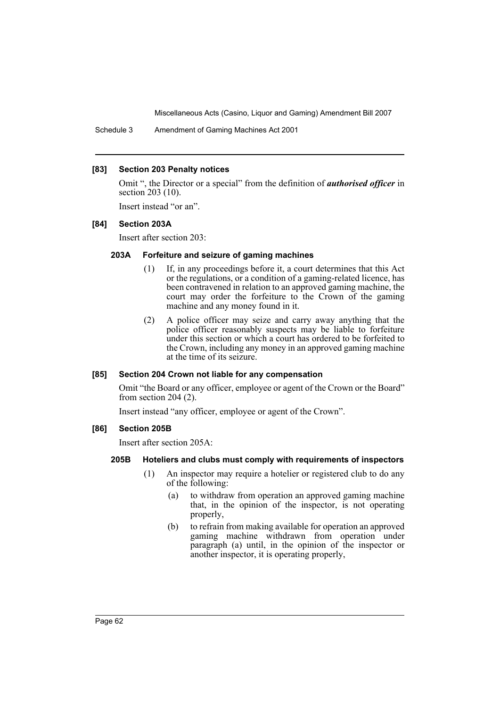Schedule 3 Amendment of Gaming Machines Act 2001

## **[83] Section 203 Penalty notices**

Omit ", the Director or a special" from the definition of *authorised officer* in section 203 (10).

Insert instead "or an".

#### **[84] Section 203A**

Insert after section 203:

## **203A Forfeiture and seizure of gaming machines**

- (1) If, in any proceedings before it, a court determines that this Act or the regulations, or a condition of a gaming-related licence, has been contravened in relation to an approved gaming machine, the court may order the forfeiture to the Crown of the gaming machine and any money found in it.
- (2) A police officer may seize and carry away anything that the police officer reasonably suspects may be liable to forfeiture under this section or which a court has ordered to be forfeited to the Crown, including any money in an approved gaming machine at the time of its seizure.

#### **[85] Section 204 Crown not liable for any compensation**

Omit "the Board or any officer, employee or agent of the Crown or the Board" from section 204 (2).

Insert instead "any officer, employee or agent of the Crown".

#### **[86] Section 205B**

Insert after section 205A:

#### **205B Hoteliers and clubs must comply with requirements of inspectors**

- (1) An inspector may require a hotelier or registered club to do any of the following:
	- (a) to withdraw from operation an approved gaming machine that, in the opinion of the inspector, is not operating properly,
	- (b) to refrain from making available for operation an approved gaming machine withdrawn from operation under paragraph (a) until, in the opinion of the inspector or another inspector, it is operating properly,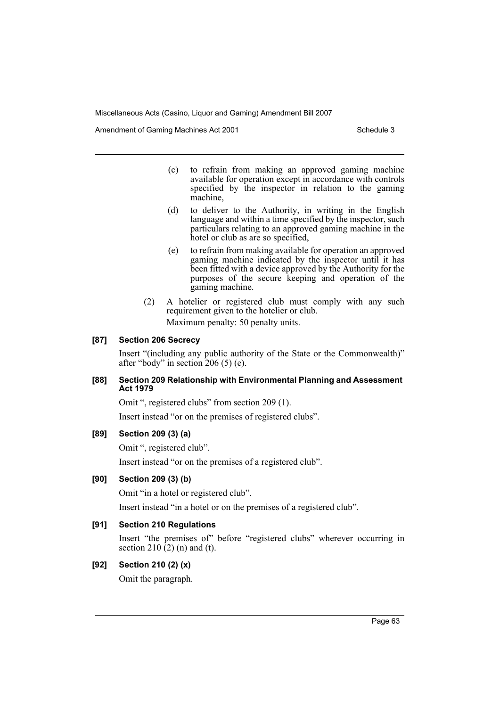Amendment of Gaming Machines Act 2001 Schedule 3

- (c) to refrain from making an approved gaming machine available for operation except in accordance with controls specified by the inspector in relation to the gaming machine,
- (d) to deliver to the Authority, in writing in the English language and within a time specified by the inspector, such particulars relating to an approved gaming machine in the hotel or club as are so specified,
- (e) to refrain from making available for operation an approved gaming machine indicated by the inspector until it has been fitted with a device approved by the Authority for the purposes of the secure keeping and operation of the gaming machine.
- (2) A hotelier or registered club must comply with any such requirement given to the hotelier or club. Maximum penalty: 50 penalty units.

## **[87] Section 206 Secrecy**

Insert "(including any public authority of the State or the Commonwealth)" after "body" in section 206 (5) (e).

## **[88] Section 209 Relationship with Environmental Planning and Assessment Act 1979**

Omit ", registered clubs" from section 209 (1).

Insert instead "or on the premises of registered clubs".

## **[89] Section 209 (3) (a)**

Omit ", registered club".

Insert instead "or on the premises of a registered club".

## **[90] Section 209 (3) (b)**

Omit "in a hotel or registered club".

Insert instead "in a hotel or on the premises of a registered club".

## **[91] Section 210 Regulations**

Insert "the premises of" before "registered clubs" wherever occurring in section 210  $(2)$  (n) and (t).

## **[92] Section 210 (2) (x)**

Omit the paragraph.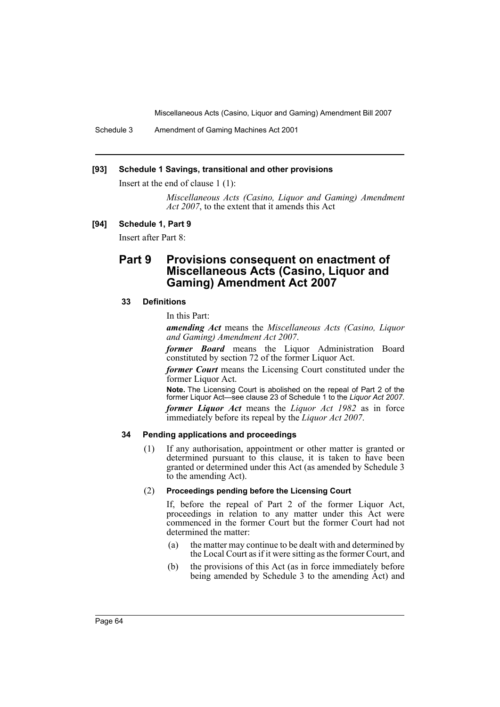Schedule 3 Amendment of Gaming Machines Act 2001

### **[93] Schedule 1 Savings, transitional and other provisions**

Insert at the end of clause 1 (1):

*Miscellaneous Acts (Casino, Liquor and Gaming) Amendment Act 2007*, to the extent that it amends this Act

#### **[94] Schedule 1, Part 9**

Insert after Part 8:

# **Part 9 Provisions consequent on enactment of Miscellaneous Acts (Casino, Liquor and Gaming) Amendment Act 2007**

### **33 Definitions**

In this Part:

*amending Act* means the *Miscellaneous Acts (Casino, Liquor and Gaming) Amendment Act 2007*.

*former Board* means the Liquor Administration Board constituted by section 72 of the former Liquor Act.

*former Court* means the Licensing Court constituted under the former Liquor Act.

**Note.** The Licensing Court is abolished on the repeal of Part 2 of the former Liquor Act—see clause 23 of Schedule 1 to the *Liquor Act 2007*.

*former Liquor Act* means the *Liquor Act 1982* as in force immediately before its repeal by the *Liquor Act 2007*.

#### **34 Pending applications and proceedings**

(1) If any authorisation, appointment or other matter is granted or determined pursuant to this clause, it is taken to have been granted or determined under this Act (as amended by Schedule 3 to the amending Act).

## (2) **Proceedings pending before the Licensing Court**

If, before the repeal of Part 2 of the former Liquor Act, proceedings in relation to any matter under this Act were commenced in the former Court but the former Court had not determined the matter:

- (a) the matter may continue to be dealt with and determined by the Local Court as if it were sitting as the former Court, and
- (b) the provisions of this Act (as in force immediately before being amended by Schedule 3 to the amending Act) and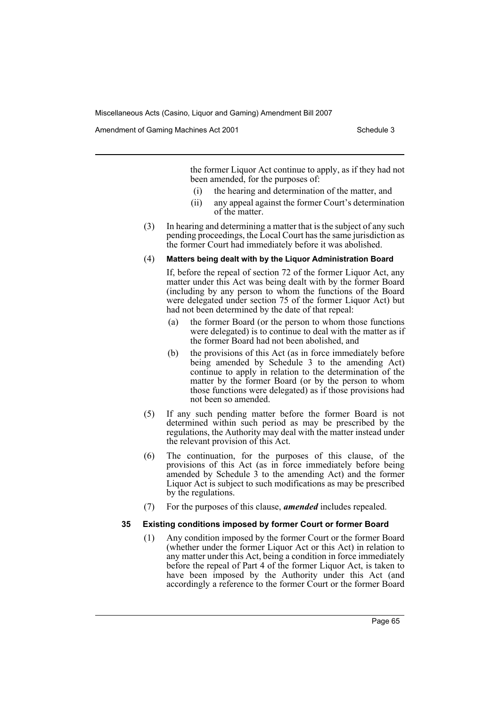Amendment of Gaming Machines Act 2001 Schedule 3

the former Liquor Act continue to apply, as if they had not been amended, for the purposes of:

- (i) the hearing and determination of the matter, and
- (ii) any appeal against the former Court's determination of the matter.
- (3) In hearing and determining a matter that is the subject of any such pending proceedings, the Local Court has the same jurisdiction as the former Court had immediately before it was abolished.

#### (4) **Matters being dealt with by the Liquor Administration Board**

If, before the repeal of section 72 of the former Liquor Act, any matter under this Act was being dealt with by the former Board (including by any person to whom the functions of the Board were delegated under section 75 of the former Liquor Act) but had not been determined by the date of that repeal:

- (a) the former Board (or the person to whom those functions were delegated) is to continue to deal with the matter as if the former Board had not been abolished, and
- (b) the provisions of this Act (as in force immediately before being amended by Schedule 3 to the amending Act) continue to apply in relation to the determination of the matter by the former Board (or by the person to whom those functions were delegated) as if those provisions had not been so amended.
- (5) If any such pending matter before the former Board is not determined within such period as may be prescribed by the regulations, the Authority may deal with the matter instead under the relevant provision of this Act.
- (6) The continuation, for the purposes of this clause, of the provisions of this Act (as in force immediately before being amended by Schedule 3 to the amending Act) and the former Liquor Act is subject to such modifications as may be prescribed by the regulations.
- (7) For the purposes of this clause, *amended* includes repealed.

#### **35 Existing conditions imposed by former Court or former Board**

(1) Any condition imposed by the former Court or the former Board (whether under the former Liquor Act or this Act) in relation to any matter under this Act, being a condition in force immediately before the repeal of Part 4 of the former Liquor Act, is taken to have been imposed by the Authority under this Act (and accordingly a reference to the former Court or the former Board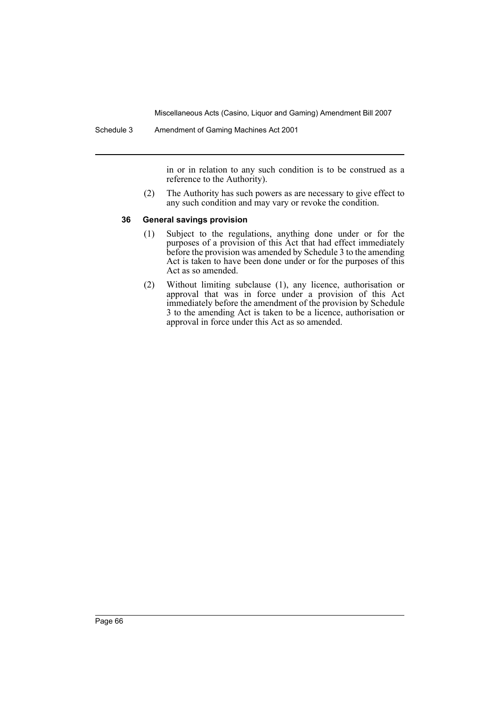in or in relation to any such condition is to be construed as a reference to the Authority).

(2) The Authority has such powers as are necessary to give effect to any such condition and may vary or revoke the condition.

#### **36 General savings provision**

- (1) Subject to the regulations, anything done under or for the purposes of a provision of this Act that had effect immediately before the provision was amended by Schedule 3 to the amending Act is taken to have been done under or for the purposes of this Act as so amended.
- (2) Without limiting subclause (1), any licence, authorisation or approval that was in force under a provision of this Act immediately before the amendment of the provision by Schedule 3 to the amending Act is taken to be a licence, authorisation or approval in force under this Act as so amended.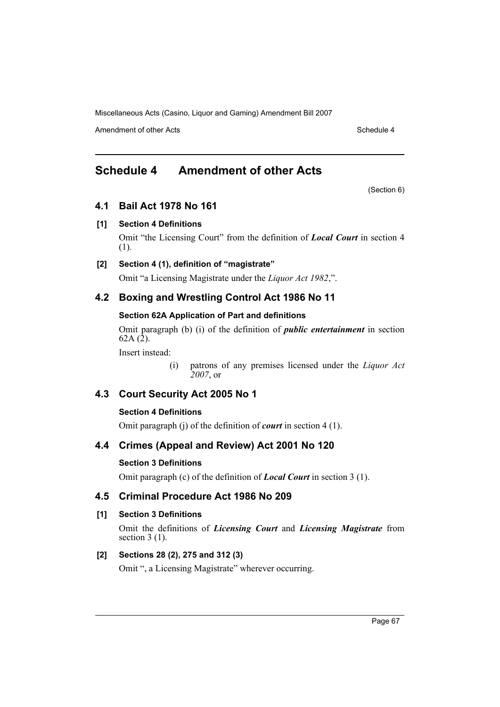Amendment of other Acts **Schedule 4** and the Acts Schedule 4 and the Schedule 4 and the Schedule 4

# **Schedule 4 Amendment of other Acts**

(Section 6)

# **4.1 Bail Act 1978 No 161**

# **[1] Section 4 Definitions**

Omit "the Licensing Court" from the definition of *Local Court* in section 4 (1).

# **[2] Section 4 (1), definition of "magistrate"**

Omit "a Licensing Magistrate under the *Liquor Act 1982*,".

# **4.2 Boxing and Wrestling Control Act 1986 No 11**

# **Section 62A Application of Part and definitions**

Omit paragraph (b) (i) of the definition of *public entertainment* in section  $62A(2)$ .

Insert instead:

(i) patrons of any premises licensed under the *Liquor Act 2007*, or

# **4.3 Court Security Act 2005 No 1**

# **Section 4 Definitions**

Omit paragraph (j) of the definition of *court* in section 4 (1).

# **4.4 Crimes (Appeal and Review) Act 2001 No 120**

# **Section 3 Definitions**

Omit paragraph (c) of the definition of *Local Court* in section 3 (1).

# **4.5 Criminal Procedure Act 1986 No 209**

# **[1] Section 3 Definitions**

Omit the definitions of *Licensing Court* and *Licensing Magistrate* from section  $3(1)$ .

# **[2] Sections 28 (2), 275 and 312 (3)**

Omit ", a Licensing Magistrate" wherever occurring.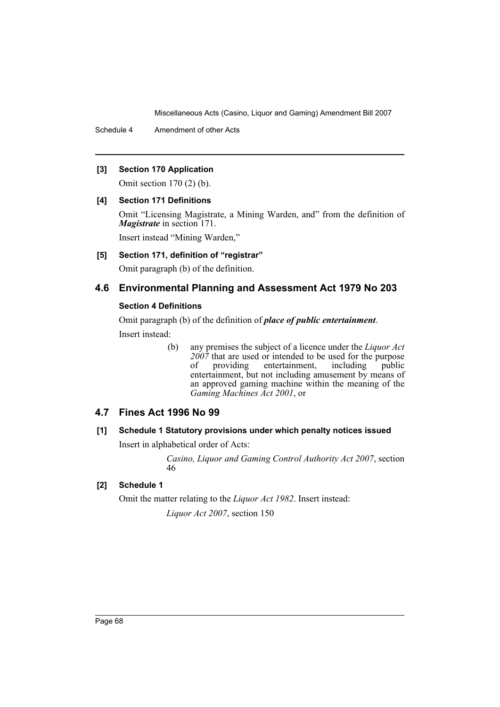Schedule 4 Amendment of other Acts

## **[3] Section 170 Application**

Omit section 170 (2) (b).

## **[4] Section 171 Definitions**

Omit "Licensing Magistrate, a Mining Warden, and" from the definition of *Magistrate* in section 171.

Insert instead "Mining Warden,"

**[5] Section 171, definition of "registrar"**

Omit paragraph (b) of the definition.

# **4.6 Environmental Planning and Assessment Act 1979 No 203**

## **Section 4 Definitions**

Omit paragraph (b) of the definition of *place of public entertainment*.

Insert instead:

(b) any premises the subject of a licence under the *Liquor Act*  $2007$  that are used or intended to be used for the purpose<br>of providing entertainment including public providing entertainment, including public entertainment, but not including amusement by means of an approved gaming machine within the meaning of the *Gaming Machines Act 2001*, or

# **4.7 Fines Act 1996 No 99**

## **[1] Schedule 1 Statutory provisions under which penalty notices issued**

Insert in alphabetical order of Acts:

*Casino, Liquor and Gaming Control Authority Act 2007*, section 46

## **[2] Schedule 1**

Omit the matter relating to the *Liquor Act 1982*. Insert instead:

*Liquor Act 2007*, section 150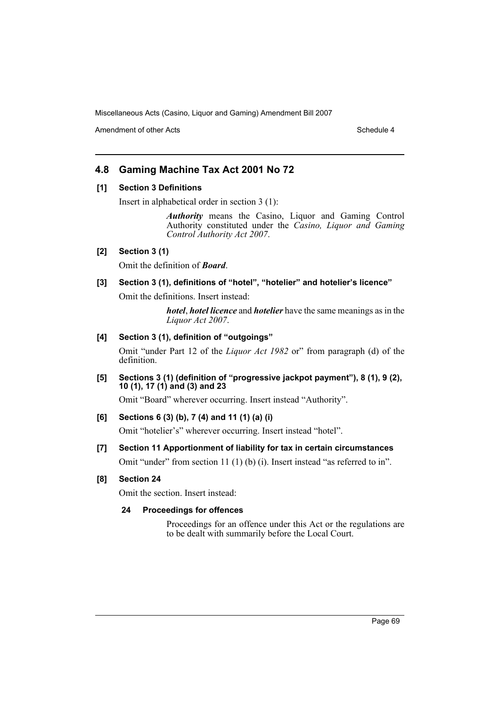Amendment of other Acts **Schedule 4** and the Acts Schedule 4 and the Schedule 4 and the Schedule 4

# **4.8 Gaming Machine Tax Act 2001 No 72**

## **[1] Section 3 Definitions**

Insert in alphabetical order in section 3 (1):

*Authority* means the Casino, Liquor and Gaming Control Authority constituted under the *Casino, Liquor and Gaming Control Authority Act 2007*.

## **[2] Section 3 (1)**

Omit the definition of *Board*.

# **[3] Section 3 (1), definitions of "hotel", "hotelier" and hotelier's licence"**

Omit the definitions. Insert instead:

*hotel*, *hotel licence* and *hotelier* have the same meanings as in the *Liquor Act 2007*.

#### **[4] Section 3 (1), definition of "outgoings"**

Omit "under Part 12 of the *Liquor Act 1982* or" from paragraph (d) of the definition.

**[5] Sections 3 (1) (definition of "progressive jackpot payment"), 8 (1), 9 (2), 10 (1), 17 (1) and (3) and 23**

Omit "Board" wherever occurring. Insert instead "Authority".

## **[6] Sections 6 (3) (b), 7 (4) and 11 (1) (a) (i)**

Omit "hotelier's" wherever occurring. Insert instead "hotel".

# **[7] Section 11 Apportionment of liability for tax in certain circumstances**

Omit "under" from section 11 (1) (b) (i). Insert instead "as referred to in".

## **[8] Section 24**

Omit the section. Insert instead:

## **24 Proceedings for offences**

Proceedings for an offence under this Act or the regulations are to be dealt with summarily before the Local Court.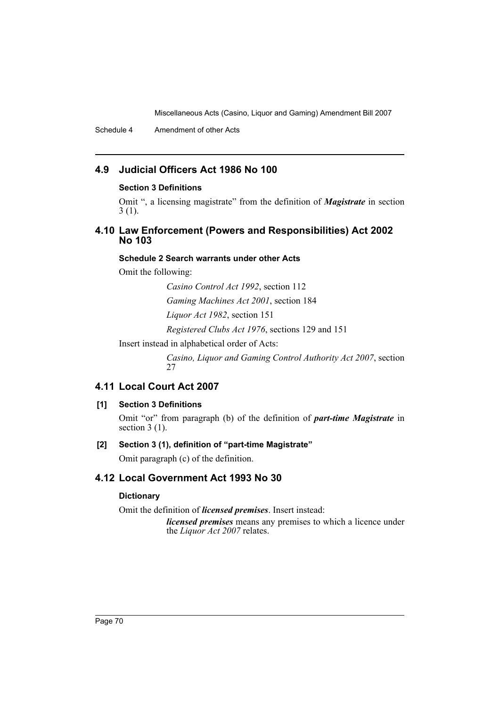Schedule 4 Amendment of other Acts

# **4.9 Judicial Officers Act 1986 No 100**

## **Section 3 Definitions**

Omit ", a licensing magistrate" from the definition of *Magistrate* in section 3 (1).

# **4.10 Law Enforcement (Powers and Responsibilities) Act 2002 No 103**

## **Schedule 2 Search warrants under other Acts**

Omit the following:

*Casino Control Act 1992*, section 112

*Gaming Machines Act 2001*, section 184

*Liquor Act 1982*, section 151

*Registered Clubs Act 1976*, sections 129 and 151

Insert instead in alphabetical order of Acts:

*Casino, Liquor and Gaming Control Authority Act 2007*, section 27

# **4.11 Local Court Act 2007**

# **[1] Section 3 Definitions**

Omit "or" from paragraph (b) of the definition of *part-time Magistrate* in section 3 (1).

## **[2] Section 3 (1), definition of "part-time Magistrate"**

Omit paragraph (c) of the definition.

# **4.12 Local Government Act 1993 No 30**

# **Dictionary**

Omit the definition of *licensed premises*. Insert instead:

*licensed premises* means any premises to which a licence under the *Liquor Act 2007* relates.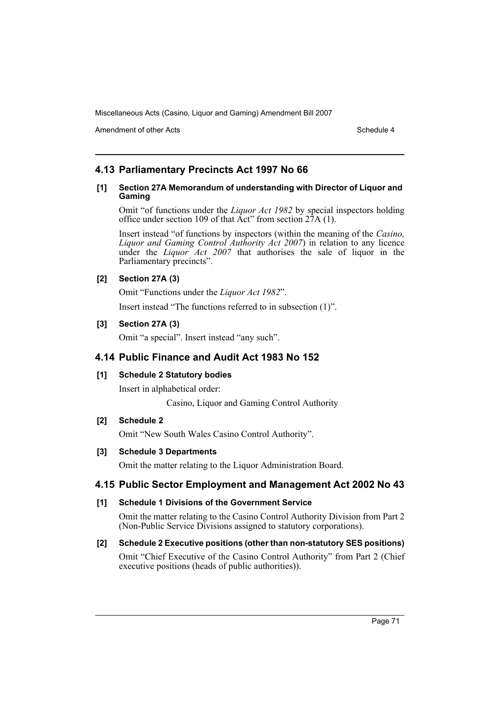Amendment of other Acts **Schedule 4** and the schedule 4

# **4.13 Parliamentary Precincts Act 1997 No 66**

### **[1] Section 27A Memorandum of understanding with Director of Liquor and Gaming**

Omit "of functions under the *Liquor Act 1982* by special inspectors holding office under section 109 of that  $\text{Act}^{\prime\prime}$  from section  $27\text{A}$  (1).

Insert instead "of functions by inspectors (within the meaning of the *Casino, Liquor and Gaming Control Authority Act 2007*) in relation to any licence under the *Liquor Act 2007* that authorises the sale of liquor in the Parliamentary precincts".

## **[2] Section 27A (3)**

Omit "Functions under the *Liquor Act 1982*".

Insert instead "The functions referred to in subsection (1)".

## **[3] Section 27A (3)**

Omit "a special". Insert instead "any such".

# **4.14 Public Finance and Audit Act 1983 No 152**

## **[1] Schedule 2 Statutory bodies**

Insert in alphabetical order:

Casino, Liquor and Gaming Control Authority

## **[2] Schedule 2**

Omit "New South Wales Casino Control Authority".

## **[3] Schedule 3 Departments**

Omit the matter relating to the Liquor Administration Board.

# **4.15 Public Sector Employment and Management Act 2002 No 43**

## **[1] Schedule 1 Divisions of the Government Service**

Omit the matter relating to the Casino Control Authority Division from Part 2 (Non-Public Service Divisions assigned to statutory corporations).

# **[2] Schedule 2 Executive positions (other than non-statutory SES positions)**

Omit "Chief Executive of the Casino Control Authority" from Part 2 (Chief executive positions (heads of public authorities)).